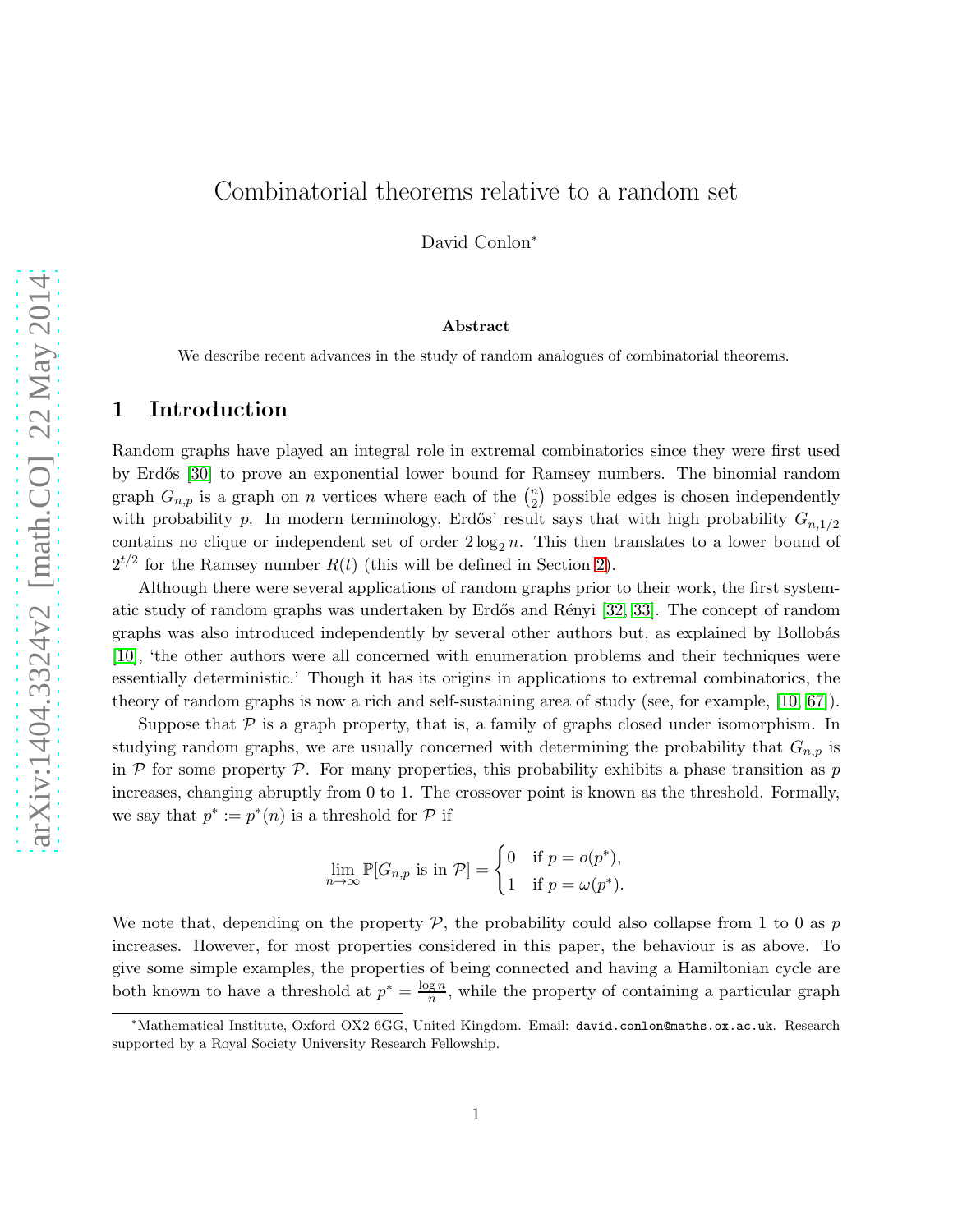# Combinatorial theorems relative to a random set

David Conlon<sup>∗</sup>

#### Abstract

We describe recent advances in the study of random analogues of combinatorial theorems.

## 1 Introduction

Random graphs have played an integral role in extremal combinatorics since they were first used by Erdős [\[30\]](#page-19-0) to prove an exponential lower bound for Ramsey numbers. The binomial random graph  $G_{n,p}$  is a graph on n vertices where each of the  $\binom{n}{2}$  $n_2$ ) possible edges is chosen independently with probability p. In modern terminology, Erdős' result says that with high probability  $G_{n,1/2}$ contains no clique or independent set of order  $2 \log_2 n$ . This then translates to a lower bound of  $2^{t/2}$  for the Ramsey number  $R(t)$  (this will be defined in Section [2\)](#page-1-0).

Although there were several applications of random graphs prior to their work, the first system-atic study of random graphs was undertaken by Erdős and Rényi [\[32,](#page-19-1) [33\]](#page-19-2). The concept of random graphs was also introduced independently by several other authors but, as explained by Bollobás [\[10\]](#page-18-0), 'the other authors were all concerned with enumeration problems and their techniques were essentially deterministic.' Though it has its origins in applications to extremal combinatorics, the theory of random graphs is now a rich and self-sustaining area of study (see, for example, [\[10,](#page-18-0) [67\]](#page-21-0)).

Suppose that  $P$  is a graph property, that is, a family of graphs closed under isomorphism. In studying random graphs, we are usually concerned with determining the probability that  $G_{n,p}$  is in  $P$  for some property  $P$ . For many properties, this probability exhibits a phase transition as p increases, changing abruptly from 0 to 1. The crossover point is known as the threshold. Formally, we say that  $p^* := p^*(n)$  is a threshold for  $P$  if

$$
\lim_{n \to \infty} \mathbb{P}[G_{n,p} \text{ is in } \mathcal{P}] = \begin{cases} 0 & \text{if } p = o(p^*), \\ 1 & \text{if } p = \omega(p^*). \end{cases}
$$

We note that, depending on the property  $P$ , the probability could also collapse from 1 to 0 as p increases. However, for most properties considered in this paper, the behaviour is as above. To give some simple examples, the properties of being connected and having a Hamiltonian cycle are both known to have a threshold at  $p^* = \frac{\log n}{n}$  $\frac{gn}{n}$ , while the property of containing a particular graph

<sup>∗</sup>Mathematical Institute, Oxford OX2 6GG, United Kingdom. Email: david.conlon@maths.ox.ac.uk. Research supported by a Royal Society University Research Fellowship.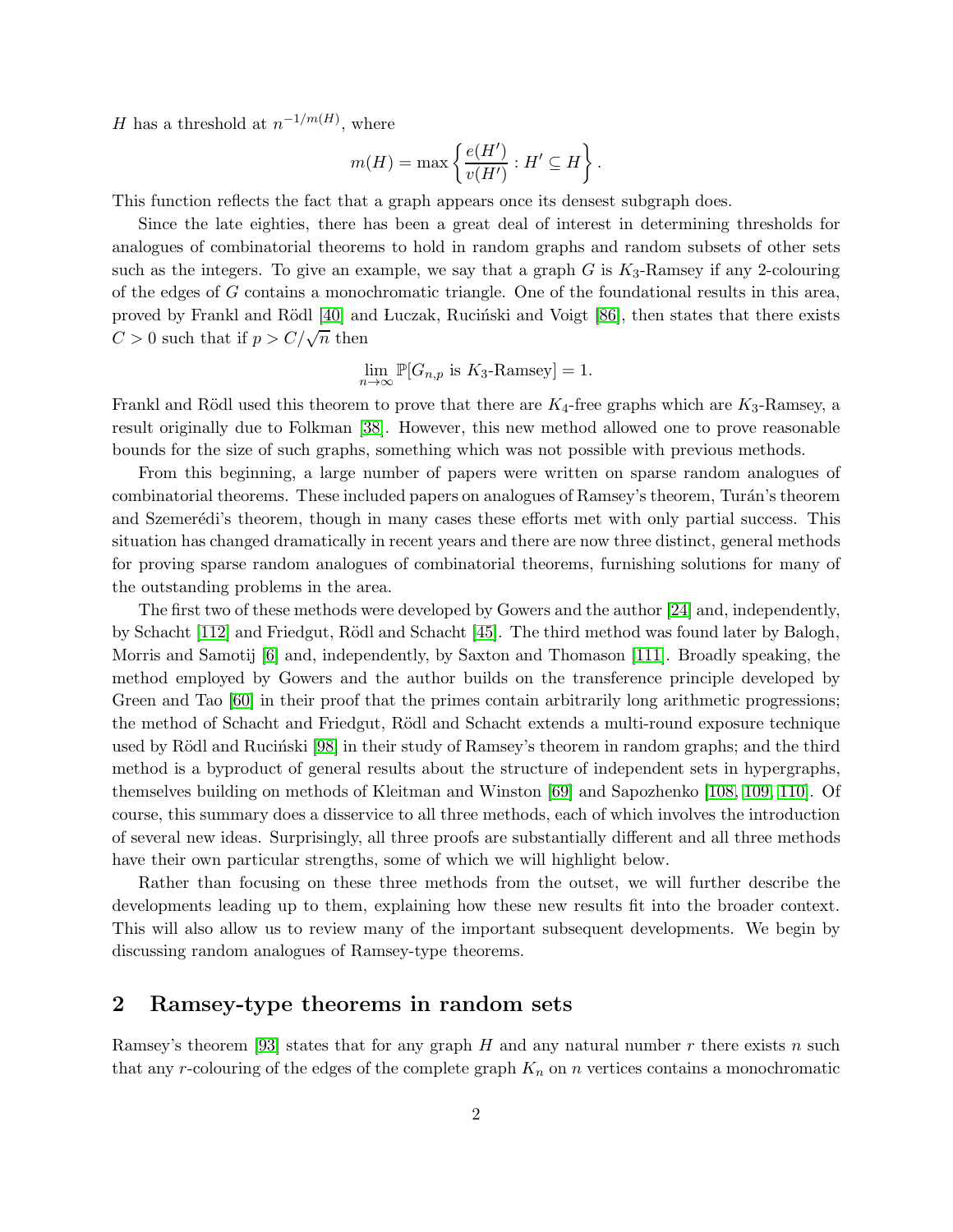H has a threshold at  $n^{-1/m(H)}$ , where

$$
m(H) = \max \left\{ \frac{e(H')}{v(H')} : H' \subseteq H \right\}.
$$

This function reflects the fact that a graph appears once its densest subgraph does.

Since the late eighties, there has been a great deal of interest in determining thresholds for analogues of combinatorial theorems to hold in random graphs and random subsets of other sets such as the integers. To give an example, we say that a graph  $G$  is  $K_3$ -Ramsey if any 2-colouring of the edges of G contains a monochromatic triangle. One of the foundational results in this area, proved by Frankl and Rödl [\[40\]](#page-20-0) and Luczak, Rucinski and Voigt [\[86\]](#page-23-0), then states that there exists  $C > 0$  such that if  $p > C/\sqrt{n}$  then

$$
\lim_{n \to \infty} \mathbb{P}[G_{n,p} \text{ is } K_3\text{-Ramsey}] = 1.
$$

Frankl and Rödl used this theorem to prove that there are  $K_4$ -free graphs which are  $K_3$ -Ramsey, a result originally due to Folkman [\[38\]](#page-20-1). However, this new method allowed one to prove reasonable bounds for the size of such graphs, something which was not possible with previous methods.

From this beginning, a large number of papers were written on sparse random analogues of combinatorial theorems. These included papers on analogues of Ramsey's theorem, Turán's theorem and Szemerédi's theorem, though in many cases these efforts met with only partial success. This situation has changed dramatically in recent years and there are now three distinct, general methods for proving sparse random analogues of combinatorial theorems, furnishing solutions for many of the outstanding problems in the area.

The first two of these methods were developed by Gowers and the author [\[24\]](#page-19-3) and, independently, by Schacht [\[112\]](#page-24-0) and Friedgut, Rödl and Schacht [\[45\]](#page-20-2). The third method was found later by Balogh, Morris and Samotij [\[6\]](#page-18-1) and, independently, by Saxton and Thomason [\[111\]](#page-24-1). Broadly speaking, the method employed by Gowers and the author builds on the transference principle developed by Green and Tao [\[60\]](#page-21-1) in their proof that the primes contain arbitrarily long arithmetic progressions; the method of Schacht and Friedgut, Rödl and Schacht extends a multi-round exposure technique used by Rödl and Rucinski [\[98\]](#page-23-1) in their study of Ramsey's theorem in random graphs; and the third method is a byproduct of general results about the structure of independent sets in hypergraphs, themselves building on methods of Kleitman and Winston [\[69\]](#page-22-0) and Sapozhenko [\[108,](#page-24-2) [109,](#page-24-3) [110\]](#page-24-4). Of course, this summary does a disservice to all three methods, each of which involves the introduction of several new ideas. Surprisingly, all three proofs are substantially different and all three methods have their own particular strengths, some of which we will highlight below.

Rather than focusing on these three methods from the outset, we will further describe the developments leading up to them, explaining how these new results fit into the broader context. This will also allow us to review many of the important subsequent developments. We begin by discussing random analogues of Ramsey-type theorems.

### <span id="page-1-0"></span>2 Ramsey-type theorems in random sets

Ramsey's theorem [\[93\]](#page-23-2) states that for any graph H and any natural number r there exists n such that any r-colouring of the edges of the complete graph  $K_n$  on n vertices contains a monochromatic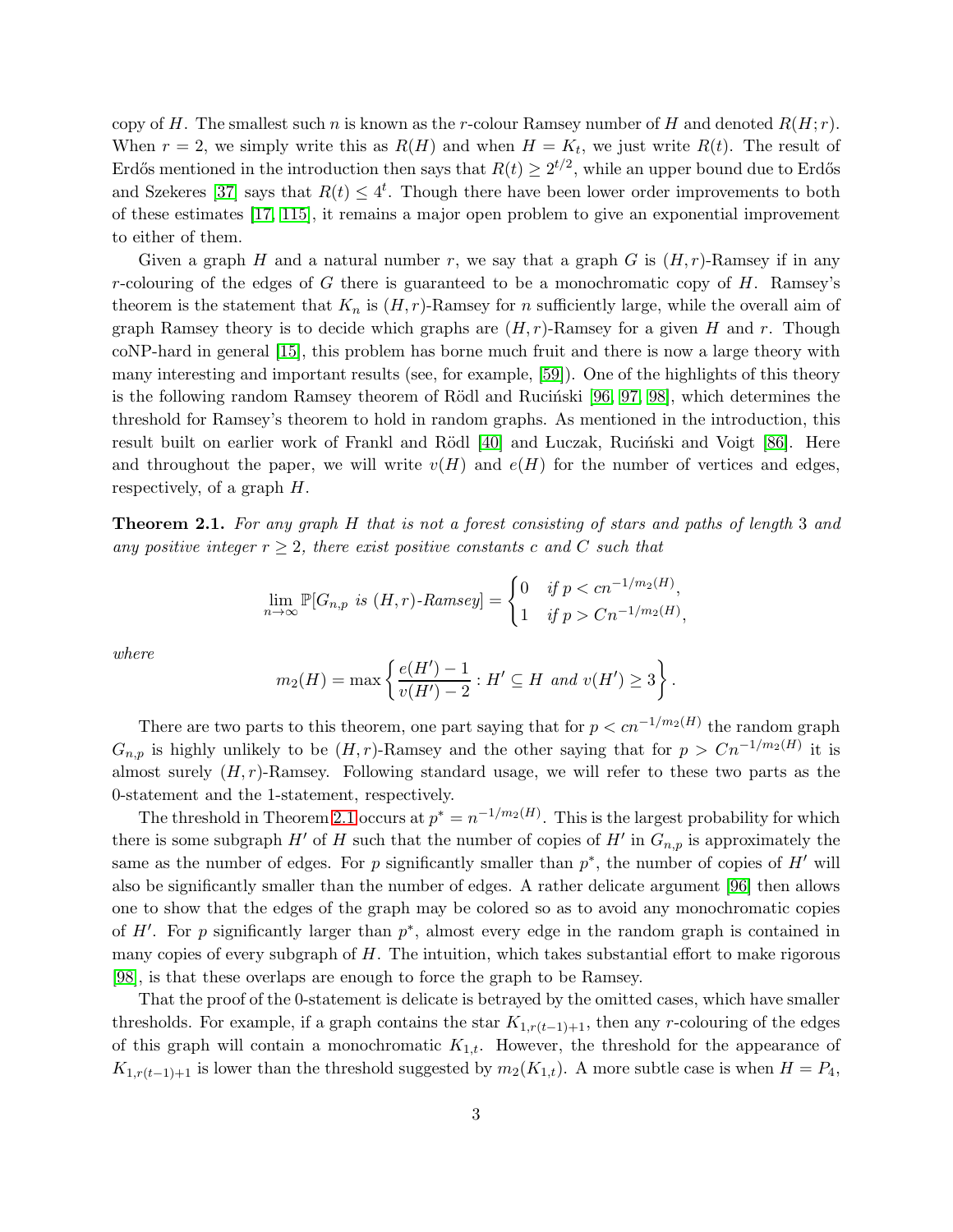copy of H. The smallest such n is known as the r-colour Ramsey number of H and denoted  $R(H; r)$ . When  $r = 2$ , we simply write this as  $R(H)$  and when  $H = K_t$ , we just write  $R(t)$ . The result of Erdős mentioned in the introduction then says that  $R(t) \geq 2^{t/2}$ , while an upper bound due to Erdős and Szekeres [\[37\]](#page-20-3) says that  $R(t) \leq 4^t$ . Though there have been lower order improvements to both of these estimates [\[17,](#page-19-4) [115\]](#page-24-5), it remains a major open problem to give an exponential improvement to either of them.

Given a graph H and a natural number r, we say that a graph G is  $(H, r)$ -Ramsey if in any r-colouring of the edges of G there is guaranteed to be a monochromatic copy of  $H$ . Ramsey's theorem is the statement that  $K_n$  is  $(H, r)$ -Ramsey for n sufficiently large, while the overall aim of graph Ramsey theory is to decide which graphs are  $(H, r)$ -Ramsey for a given H and r. Though coNP-hard in general [\[15\]](#page-18-2), this problem has borne much fruit and there is now a large theory with many interesting and important results (see, for example, [\[59\]](#page-21-2)). One of the highlights of this theory is the following random Ramsey theorem of Rödl and Rucinski  $[96, 97, 98]$  $[96, 97, 98]$  $[96, 97, 98]$ , which determines the threshold for Ramsey's theorem to hold in random graphs. As mentioned in the introduction, this result built on earlier work of Frankl and Rödl [\[40\]](#page-20-0) and Luczak, Rucinski and Voigt [\[86\]](#page-23-0). Here and throughout the paper, we will write  $v(H)$  and  $e(H)$  for the number of vertices and edges, respectively, of a graph H.

<span id="page-2-0"></span>Theorem 2.1. *For any graph* H *that is not a forest consisting of stars and paths of length* 3 *and any positive integer*  $r \geq 2$ *, there exist positive constants* c and C such that

$$
\lim_{n \to \infty} \mathbb{P}[G_{n,p} \text{ is } (H,r)\text{-Ramsey}] = \begin{cases} 0 & \text{if } p < cn^{-1/m_2(H)}, \\ 1 & \text{if } p > Cn^{-1/m_2(H)}, \end{cases}
$$

*where*

$$
m_2(H) = \max \left\{ \frac{e(H') - 1}{v(H') - 2} : H' \subseteq H \text{ and } v(H') \ge 3 \right\}.
$$

There are two parts to this theorem, one part saying that for  $p < cn^{-1/m_2(H)}$  the random graph  $G_{n,p}$  is highly unlikely to be  $(H, r)$ -Ramsey and the other saying that for  $p > Cn^{-1/m_2(H)}$  it is almost surely  $(H, r)$ -Ramsey. Following standard usage, we will refer to these two parts as the 0-statement and the 1-statement, respectively.

The threshold in Theorem [2.1](#page-2-0) occurs at  $p^* = n^{-1/m_2(H)}$ . This is the largest probability for which there is some subgraph  $H'$  of H such that the number of copies of  $H'$  in  $G_{n,p}$  is approximately the same as the number of edges. For p significantly smaller than  $p^*$ , the number of copies of  $H'$  will also be significantly smaller than the number of edges. A rather delicate argument [\[96\]](#page-23-3) then allows one to show that the edges of the graph may be colored so as to avoid any monochromatic copies of  $H'$ . For p significantly larger than  $p^*$ , almost every edge in the random graph is contained in many copies of every subgraph of  $H$ . The intuition, which takes substantial effort to make rigorous [\[98\]](#page-23-1), is that these overlaps are enough to force the graph to be Ramsey.

That the proof of the 0-statement is delicate is betrayed by the omitted cases, which have smaller thresholds. For example, if a graph contains the star  $K_{1,r(t-1)+1}$ , then any r-colouring of the edges of this graph will contain a monochromatic  $K_{1,t}$ . However, the threshold for the appearance of  $K_{1,r(t-1)+1}$  is lower than the threshold suggested by  $m_2(K_{1,t})$ . A more subtle case is when  $H = P_4$ ,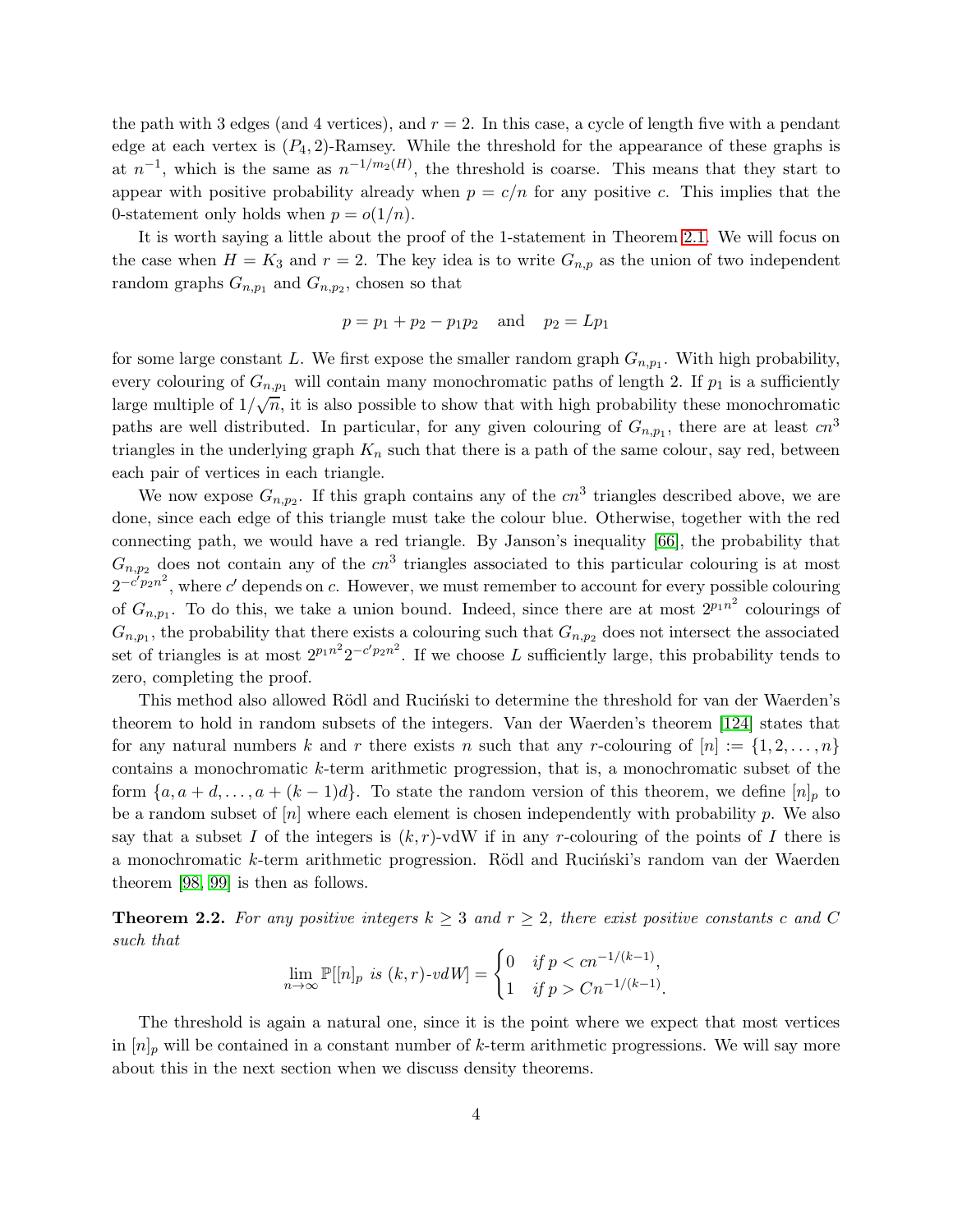the path with 3 edges (and 4 vertices), and  $r = 2$ . In this case, a cycle of length five with a pendant edge at each vertex is  $(P_4, 2)$ -Ramsey. While the threshold for the appearance of these graphs is at  $n^{-1}$ , which is the same as  $n^{-1/m_2(H)}$ , the threshold is coarse. This means that they start to appear with positive probability already when  $p = c/n$  for any positive c. This implies that the 0-statement only holds when  $p = o(1/n)$ .

It is worth saying a little about the proof of the 1-statement in Theorem [2.1.](#page-2-0) We will focus on the case when  $H = K_3$  and  $r = 2$ . The key idea is to write  $G_{n,p}$  as the union of two independent random graphs  $G_{n,p_1}$  and  $G_{n,p_2}$ , chosen so that

$$
p = p_1 + p_2 - p_1p_2
$$
 and  $p_2 = Lp_1$ 

for some large constant L. We first expose the smaller random graph  $G_{n,p_1}$ . With high probability, every colouring of  $G_{n,p_1}$  will contain many monochromatic paths of length 2. If  $p_1$  is a sufficiently large multiple of  $1/\sqrt{n}$ , it is also possible to show that with high probability these monochromatic paths are well distributed. In particular, for any given colouring of  $G_{n,p_1}$ , there are at least  $cn^3$ triangles in the underlying graph  $K_n$  such that there is a path of the same colour, say red, between each pair of vertices in each triangle.

We now expose  $G_{n,p_2}$ . If this graph contains any of the  $cn^3$  triangles described above, we are done, since each edge of this triangle must take the colour blue. Otherwise, together with the red connecting path, we would have a red triangle. By Janson's inequality [\[66\]](#page-21-3), the probability that  $G_{n,p_2}$  does not contain any of the  $cn^3$  triangles associated to this particular colouring is at most  $2^{-c'p_2n^2}$ , where c' depends on c. However, we must remember to account for every possible colouring of  $G_{n,p_1}$ . To do this, we take a union bound. Indeed, since there are at most  $2^{p_1n^2}$  colourings of  $G_{n,p_1}$ , the probability that there exists a colouring such that  $G_{n,p_2}$  does not intersect the associated set of triangles is at most  $2^{p_1n^2}2^{-c'p_2n^2}$ . If we choose L sufficiently large, this probability tends to zero, completing the proof.

This method also allowed Rödl and Rucinski to determine the threshold for van der Waerden's theorem to hold in random subsets of the integers. Van der Waerden's theorem [\[124\]](#page-25-0) states that for any natural numbers k and r there exists n such that any r-colouring of  $[n] := \{1, 2, \ldots, n\}$ contains a monochromatic k-term arithmetic progression, that is, a monochromatic subset of the form  $\{a, a+d, \ldots, a+(k-1)d\}$ . To state the random version of this theorem, we define  $[n]_p$  to be a random subset of  $[n]$  where each element is chosen independently with probability  $p$ . We also say that a subset I of the integers is  $(k, r)$ -vdW if in any r-colouring of the points of I there is a monochromatic k-term arithmetic progression. Rödl and Rucinski's random van der Waerden theorem [\[98,](#page-23-1) [99\]](#page-24-6) is then as follows.

<span id="page-3-0"></span>**Theorem 2.2.** For any positive integers  $k \geq 3$  and  $r \geq 2$ , there exist positive constants c and C *such that*

$$
\lim_{n \to \infty} \mathbb{P}[[n]_p \text{ is } (k, r) \text{-}vdW] = \begin{cases} 0 & \text{if } p < cn^{-1/(k-1)}, \\ 1 & \text{if } p > Cn^{-1/(k-1)}. \end{cases}
$$

The threshold is again a natural one, since it is the point where we expect that most vertices in  $[n]_p$  will be contained in a constant number of k-term arithmetic progressions. We will say more about this in the next section when we discuss density theorems.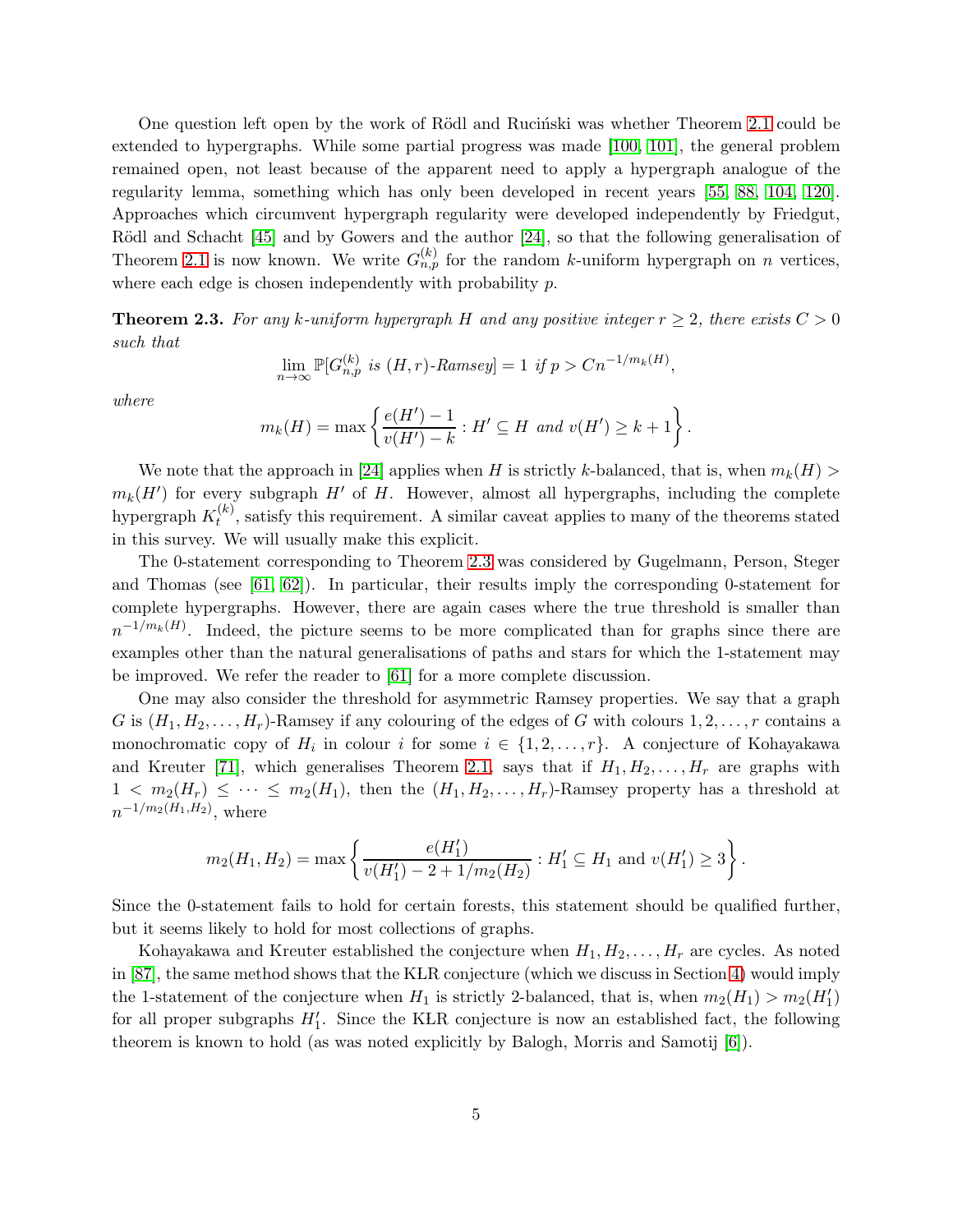One question left open by the work of Rödl and Rucinski was whether Theorem [2.1](#page-2-0) could be extended to hypergraphs. While some partial progress was made [\[100,](#page-24-7) [101\]](#page-24-8), the general problem remained open, not least because of the apparent need to apply a hypergraph analogue of the regularity lemma, something which has only been developed in recent years [\[55,](#page-21-4) [88,](#page-23-5) [104,](#page-24-9) [120\]](#page-25-1). Approaches which circumvent hypergraph regularity were developed independently by Friedgut, Rödl and Schacht [\[45\]](#page-20-2) and by Gowers and the author [\[24\]](#page-19-3), so that the following generalisation of Theorem [2.1](#page-2-0) is now known. We write  $G_{n,p}^{(k)}$  for the random k-uniform hypergraph on n vertices, where each edge is chosen independently with probability p.

<span id="page-4-0"></span>**Theorem 2.3.** For any k-uniform hypergraph H and any positive integer  $r \geq 2$ , there exists  $C > 0$ *such that*

$$
\lim_{n \to \infty} \mathbb{P}[G_{n,p}^{(k)} \text{ is } (H,r)\text{-Ramsey}] = 1 \text{ if } p > Cn^{-1/m_k(H)},
$$

*where*

$$
m_k(H) = \max\left\{\frac{e(H') - 1}{v(H') - k} : H' \subseteq H \text{ and } v(H') \ge k + 1\right\}.
$$

We note that the approach in [\[24\]](#page-19-3) applies when H is strictly k-balanced, that is, when  $m_k(H)$  $m_k(H')$  for every subgraph  $H'$  of  $H$ . However, almost all hypergraphs, including the complete hypergraph  $K_t^{(k)}$  $t_t^{(k)}$ , satisfy this requirement. A similar caveat applies to many of the theorems stated in this survey. We will usually make this explicit.

The 0-statement corresponding to Theorem [2.3](#page-4-0) was considered by Gugelmann, Person, Steger and Thomas (see  $[61, 62]$  $[61, 62]$ ). In particular, their results imply the corresponding 0-statement for complete hypergraphs. However, there are again cases where the true threshold is smaller than  $n^{-1/m_k(H)}$ . Indeed, the picture seems to be more complicated than for graphs since there are examples other than the natural generalisations of paths and stars for which the 1-statement may be improved. We refer the reader to [\[61\]](#page-21-5) for a more complete discussion.

One may also consider the threshold for asymmetric Ramsey properties. We say that a graph G is  $(H_1, H_2, \ldots, H_r)$ -Ramsey if any colouring of the edges of G with colours  $1, 2, \ldots, r$  contains a monochromatic copy of  $H_i$  in colour i for some  $i \in \{1, 2, ..., r\}$ . A conjecture of Kohayakawa and Kreuter [\[71\]](#page-22-1), which generalises Theorem [2.1,](#page-2-0) says that if  $H_1, H_2, \ldots, H_r$  are graphs with  $1 < m_2(H_r) \leq \cdots \leq m_2(H_1)$ , then the  $(H_1, H_2, \ldots, H_r)$ -Ramsey property has a threshold at  $n^{-1/m_2(H_1,H_2)}$ , where

$$
m_2(H_1, H_2) = \max \left\{ \frac{e(H_1')}{v(H_1') - 2 + 1/m_2(H_2)} : H_1' \subseteq H_1 \text{ and } v(H_1') \ge 3 \right\}.
$$

Since the 0-statement fails to hold for certain forests, this statement should be qualified further, but it seems likely to hold for most collections of graphs.

Kohayakawa and Kreuter established the conjecture when  $H_1, H_2, \ldots, H_r$  are cycles. As noted in [\[87\]](#page-23-6), the same method shows that the KLR conjecture (which we discuss in Section [4\)](#page-10-0) would imply the 1-statement of the conjecture when  $H_1$  is strictly 2-balanced, that is, when  $m_2(H_1) > m_2(H'_1)$ for all proper subgraphs  $H'_1$ . Since the KLR conjecture is now an established fact, the following theorem is known to hold (as was noted explicitly by Balogh, Morris and Samotij [\[6\]](#page-18-1)).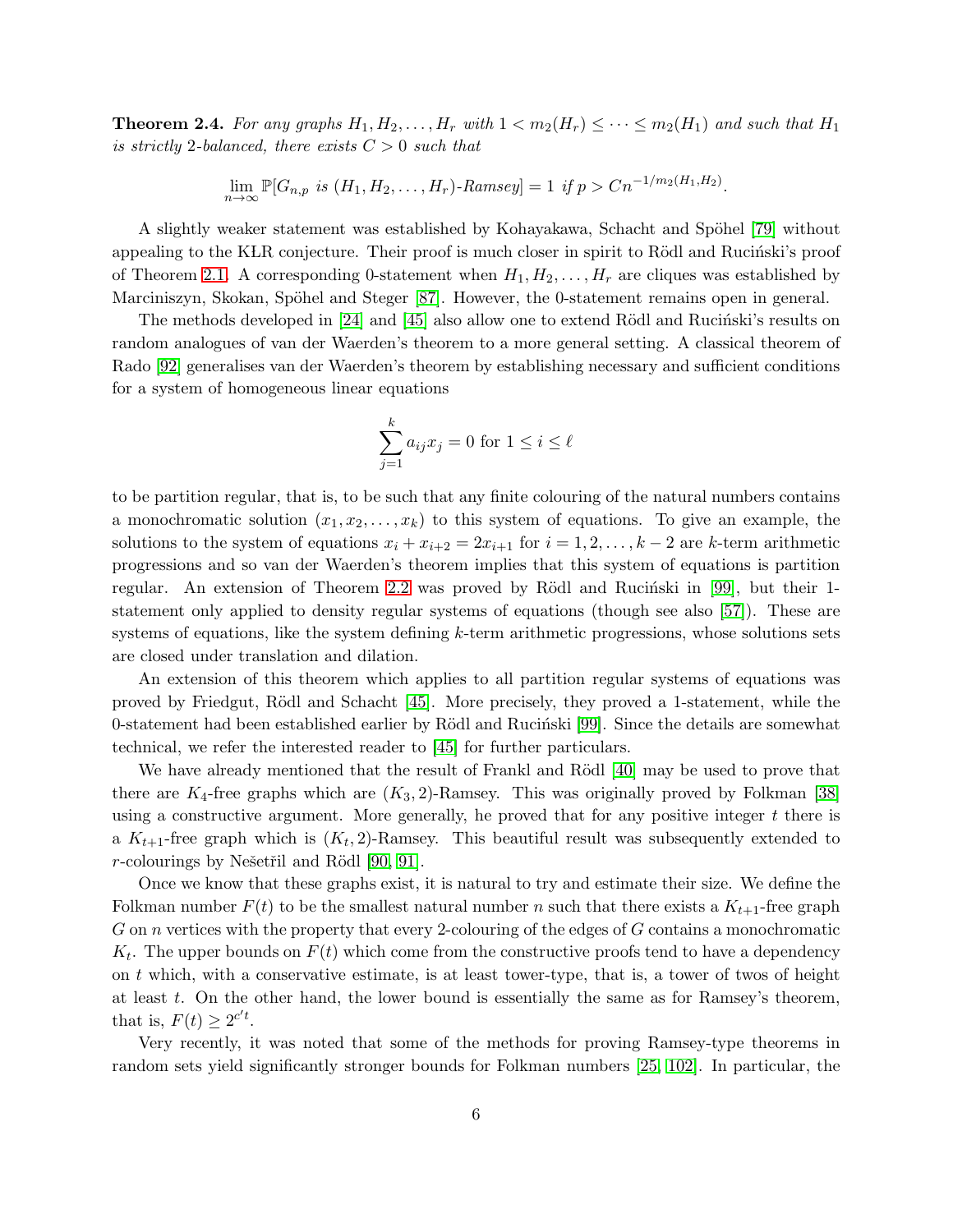<span id="page-5-0"></span>**Theorem 2.4.** For any graphs  $H_1, H_2, \ldots, H_r$  with  $1 < m_2(H_r) \leq \cdots \leq m_2(H_1)$  and such that  $H_1$ *is strictly* 2*-balanced, there exists*  $C > 0$  *such that* 

$$
\lim_{n \to \infty} \mathbb{P}[G_{n,p} \text{ is } (H_1, H_2, \dots, H_r) \text{-Ramsey}] = 1 \text{ if } p > Cn^{-1/m_2(H_1, H_2)}.
$$

A slightly weaker statement was established by Kohayakawa, Schacht and Spöhel [\[79\]](#page-22-2) without appealing to the KLR conjecture. Their proof is much closer in spirit to Rödl and Rucinski's proof of Theorem [2.1.](#page-2-0) A corresponding 0-statement when  $H_1, H_2, \ldots, H_r$  are cliques was established by Marciniszyn, Skokan, Spöhel and Steger [\[87\]](#page-23-6). However, the 0-statement remains open in general.

The methods developed in  $[24]$  and  $[45]$  also allow one to extend Rödl and Rucinski's results on random analogues of van der Waerden's theorem to a more general setting. A classical theorem of Rado [\[92\]](#page-23-7) generalises van der Waerden's theorem by establishing necessary and sufficient conditions for a system of homogeneous linear equations

$$
\sum_{j=1}^{k} a_{ij} x_j = 0 \text{ for } 1 \le i \le \ell
$$

to be partition regular, that is, to be such that any finite colouring of the natural numbers contains a monochromatic solution  $(x_1, x_2, \ldots, x_k)$  to this system of equations. To give an example, the solutions to the system of equations  $x_i + x_{i+2} = 2x_{i+1}$  for  $i = 1, 2, \ldots, k-2$  are k-term arithmetic progressions and so van der Waerden's theorem implies that this system of equations is partition regular. An extension of Theorem [2.2](#page-3-0) was proved by Rödl and Rucinski in [\[99\]](#page-24-6), but their 1statement only applied to density regular systems of equations (though see also [\[57\]](#page-21-7)). These are systems of equations, like the system defining  $k$ -term arithmetic progressions, whose solutions sets are closed under translation and dilation.

An extension of this theorem which applies to all partition regular systems of equations was proved by Friedgut, R¨odl and Schacht [\[45\]](#page-20-2). More precisely, they proved a 1-statement, while the 0-statement had been established earlier by Rödl and Rucinski [\[99\]](#page-24-6). Since the details are somewhat technical, we refer the interested reader to [\[45\]](#page-20-2) for further particulars.

We have already mentioned that the result of Frankl and Rödl [\[40\]](#page-20-0) may be used to prove that there are  $K_4$ -free graphs which are  $(K_3, 2)$ -Ramsey. This was originally proved by Folkman [\[38\]](#page-20-1) using a constructive argument. More generally, he proved that for any positive integer t there is a  $K_{t+1}$ -free graph which is  $(K_t, 2)$ -Ramsey. This beautiful result was subsequently extended to r-colourings by Nešetřil and Rödl  $[90, 91]$  $[90, 91]$ .

Once we know that these graphs exist, it is natural to try and estimate their size. We define the Folkman number  $F(t)$  to be the smallest natural number n such that there exists a  $K_{t+1}$ -free graph G on n vertices with the property that every 2-colouring of the edges of G contains a monochromatic  $K_t$ . The upper bounds on  $F(t)$  which come from the constructive proofs tend to have a dependency on t which, with a conservative estimate, is at least tower-type, that is, a tower of twos of height at least  $t$ . On the other hand, the lower bound is essentially the same as for Ramsey's theorem, that is,  $F(t) \geq 2^{c't}$ .

Very recently, it was noted that some of the methods for proving Ramsey-type theorems in random sets yield significantly stronger bounds for Folkman numbers [\[25,](#page-19-5) [102\]](#page-24-10). In particular, the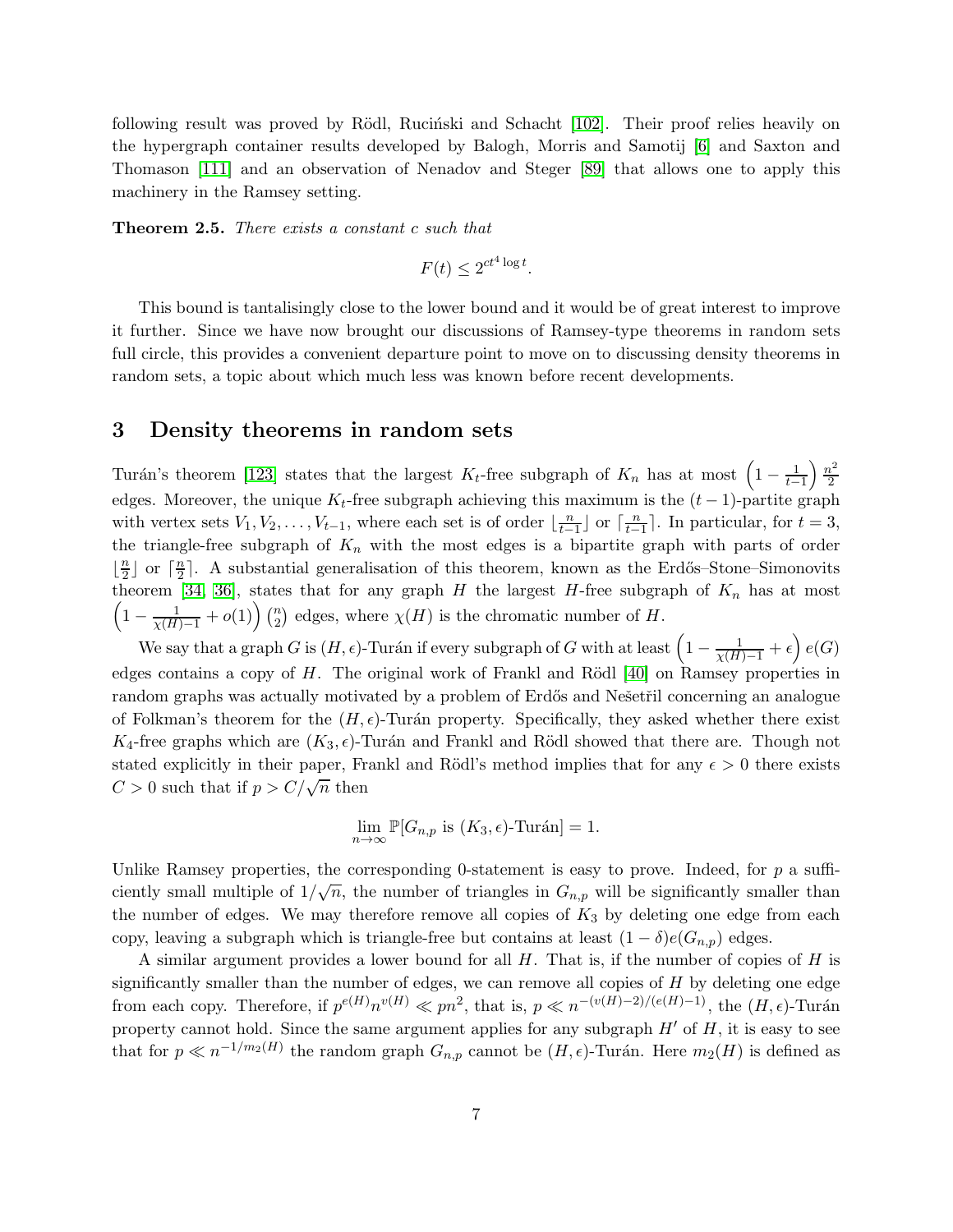following result was proved by Rödl, Rucinski and Schacht [\[102\]](#page-24-10). Their proof relies heavily on the hypergraph container results developed by Balogh, Morris and Samotij [\[6\]](#page-18-1) and Saxton and Thomason [\[111\]](#page-24-1) and an observation of Nenadov and Steger [\[89\]](#page-23-10) that allows one to apply this machinery in the Ramsey setting.

Theorem 2.5. *There exists a constant* c *such that*

$$
F(t) \le 2^{ct^4 \log t}.
$$

This bound is tantalisingly close to the lower bound and it would be of great interest to improve it further. Since we have now brought our discussions of Ramsey-type theorems in random sets full circle, this provides a convenient departure point to move on to discussing density theorems in random sets, a topic about which much less was known before recent developments.

## 3 Density theorems in random sets

Turán's theorem [\[123\]](#page-25-2) states that the largest  $K_t$ -free subgraph of  $K_n$  has at most  $\left(1-\frac{1}{t-1}\right)\frac{n^2}{2}$ 2 edges. Moreover, the unique  $K_t$ -free subgraph achieving this maximum is the  $(t-1)$ -partite graph with vertex sets  $V_1, V_2, \ldots, V_{t-1}$ , where each set is of order  $\lfloor \frac{n}{t-1} \rfloor$  or  $\lceil \frac{n}{t-1} \rceil$ . In particular, for  $t = 3$ , the triangle-free subgraph of  $K_n$  with the most edges is a bipartite graph with parts of order  $\lfloor \frac{n}{2}$  $\frac{n}{2}$  or  $\lceil \frac{n}{2} \rceil$  $\frac{n}{2}$ . A substantial generalisation of this theorem, known as the Erdős–Stone–Simonovits theorem [\[34,](#page-19-6) [36\]](#page-20-4), states that for any graph H the largest H-free subgraph of  $K_n$  has at most  $\left(1-\frac{1}{\chi(H)-1}+o(1)\right)\binom{n}{2}$  $n_2$ ) edges, where  $\chi(H)$  is the chromatic number of H.

We say that a graph G is  $(H, \epsilon)$ -Turán if every subgraph of G with at least  $\left(1 - \frac{1}{\chi(H) - 1} + \epsilon\right)e(G)$ edges contains a copy of  $H$ . The original work of Frankl and Rödl [\[40\]](#page-20-0) on Ramsey properties in random graphs was actually motivated by a problem of Erdős and Nešetřil concerning an analogue of Folkman's theorem for the  $(H, \epsilon)$ -Turán property. Specifically, they asked whether there exist K<sub>4</sub>-free graphs which are  $(K_3, \epsilon)$ -Turán and Frankl and Rödl showed that there are. Though not stated explicitly in their paper, Frankl and Rödl's method implies that for any  $\epsilon > 0$  there exists  $C > 0$  such that if  $p > C/\sqrt{n}$  then

$$
\lim_{n \to \infty} \mathbb{P}[G_{n,p} \text{ is } (K_3, \epsilon)\text{-Turán}] = 1.
$$

Unlike Ramsey properties, the corresponding 0-statement is easy to prove. Indeed, for  $p$  a sufficiently small multiple of  $1/\sqrt{n}$ , the number of triangles in  $G_{n,p}$  will be significantly smaller than the number of edges. We may therefore remove all copies of  $K_3$  by deleting one edge from each copy, leaving a subgraph which is triangle-free but contains at least  $(1 - \delta)e(G_{n,p})$  edges.

A similar argument provides a lower bound for all  $H$ . That is, if the number of copies of  $H$  is significantly smaller than the number of edges, we can remove all copies of  $H$  by deleting one edge from each copy. Therefore, if  $p^{e(H)}n^{v(H)} \ll pn^2$ , that is,  $p \ll n^{-(v(H)-2)/(e(H)-1)}$ , the  $(H, \epsilon)$ -Turán property cannot hold. Since the same argument applies for any subgraph  $H'$  of  $H$ , it is easy to see that for  $p \ll n^{-1/m_2(H)}$  the random graph  $G_{n,p}$  cannot be  $(H, \epsilon)$ -Turán. Here  $m_2(H)$  is defined as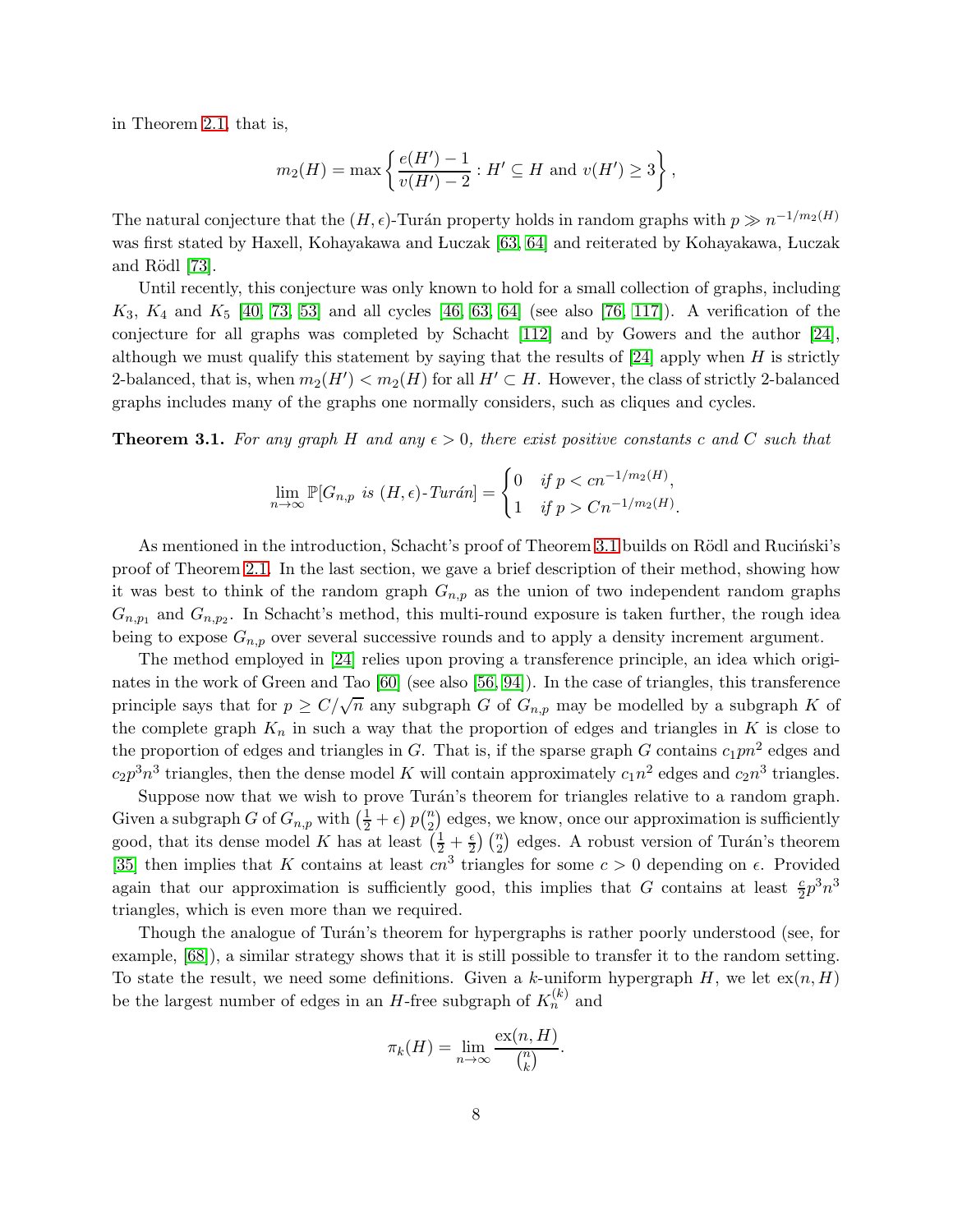in Theorem [2.1,](#page-2-0) that is,

$$
m_2(H) = \max \left\{ \frac{e(H') - 1}{v(H') - 2} : H' \subseteq H \text{ and } v(H') \ge 3 \right\},\
$$

The natural conjecture that the  $(H, \epsilon)$ -Turán property holds in random graphs with  $p \gg n^{-1/m_2(H)}$ was first stated by Haxell, Kohayakawa and Luczak [\[63,](#page-21-8) [64\]](#page-21-9) and reiterated by Kohayakawa, Luczak and Rödl  $[73]$ .

Until recently, this conjecture was only known to hold for a small collection of graphs, including  $K_3, K_4$  and  $K_5$  [\[40,](#page-20-0) [73,](#page-22-3) [53\]](#page-21-10) and all cycles [\[46,](#page-20-5) [63,](#page-21-8) [64\]](#page-21-9) (see also [\[76,](#page-22-4) [117\]](#page-25-3)). A verification of the conjecture for all graphs was completed by Schacht [\[112\]](#page-24-0) and by Gowers and the author [\[24\]](#page-19-3), although we must qualify this statement by saying that the results of  $[24]$  apply when H is strictly 2-balanced, that is, when  $m_2(H') < m_2(H)$  for all  $H' \subset H$ . However, the class of strictly 2-balanced graphs includes many of the graphs one normally considers, such as cliques and cycles.

<span id="page-7-0"></span>**Theorem 3.1.** For any graph H and any  $\epsilon > 0$ , there exist positive constants c and C such that

$$
\lim_{n \to \infty} \mathbb{P}[G_{n,p} \text{ is } (H,\epsilon)\text{-}Tur\acute{a}n] = \begin{cases} 0 & \text{if } p < cn^{-1/m_2(H)}, \\ 1 & \text{if } p > Cn^{-1/m_2(H)} \end{cases}
$$

.

As mentioned in the introduction, Schacht's proof of Theorem [3.1](#page-7-0) builds on Rödl and Rucinski's proof of Theorem [2.1.](#page-2-0) In the last section, we gave a brief description of their method, showing how it was best to think of the random graph  $G_{n,p}$  as the union of two independent random graphs  $G_{n,p_1}$  and  $G_{n,p_2}$ . In Schacht's method, this multi-round exposure is taken further, the rough idea being to expose  $G_{n,p}$  over several successive rounds and to apply a density increment argument.

The method employed in [\[24\]](#page-19-3) relies upon proving a transference principle, an idea which originates in the work of Green and Tao [\[60\]](#page-21-1) (see also [\[56,](#page-21-11) [94\]](#page-23-11)). In the case of triangles, this transference principle says that for  $p \ge C/\sqrt{n}$  any subgraph G of  $G_{n,p}$  may be modelled by a subgraph K of the complete graph  $K_n$  in such a way that the proportion of edges and triangles in K is close to the proportion of edges and triangles in G. That is, if the sparse graph G contains  $c_1pn^2$  edges and  $c_2 p^3 n^3$  triangles, then the dense model K will contain approximately  $c_1 n^2$  edges and  $c_2 n^3$  triangles.

Suppose now that we wish to prove Turán's theorem for triangles relative to a random graph. Given a subgraph G of  $G_{n,p}$  with  $\left(\frac{1}{2} + \epsilon\right) p\binom{n}{2}$  $\binom{n}{2}$  edges, we know, once our approximation is sufficiently good, that its dense model K has at least  $(\frac{1}{2} + \frac{\epsilon}{2})$  ( $\frac{n}{2}$ ) edges. A robust version of Turán's theorem [\[35\]](#page-19-7) then implies that K contains at least  $cn^3$  triangles for some  $c > 0$  depending on  $\epsilon$ . Provided again that our approximation is sufficiently good, this implies that G contains at least  $\frac{c}{2}p^3n^3$ triangles, which is even more than we required.

Though the analogue of Turán's theorem for hypergraphs is rather poorly understood (see, for example, [\[68\]](#page-22-5)), a similar strategy shows that it is still possible to transfer it to the random setting. To state the result, we need some definitions. Given a k-uniform hypergraph H, we let  $ex(n, H)$ be the largest number of edges in an H-free subgraph of  $K_n^{(k)}$  and

$$
\pi_k(H) = \lim_{n \to \infty} \frac{\operatorname{ex}(n, H)}{\binom{n}{k}}.
$$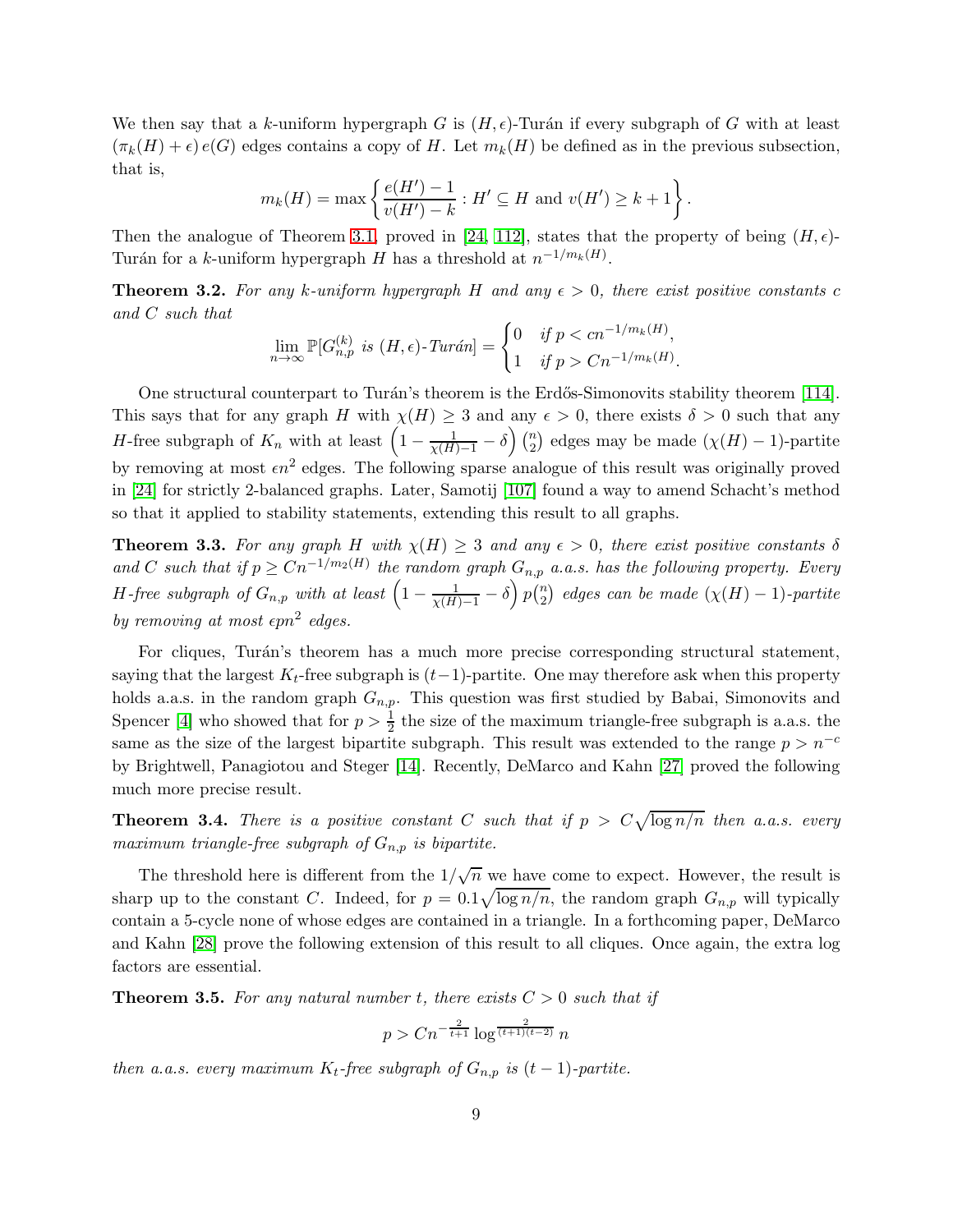We then say that a k-uniform hypergraph G is  $(H, \epsilon)$ -Turán if every subgraph of G with at least  $(\pi_k(H) + \epsilon) e(G)$  edges contains a copy of H. Let  $m_k(H)$  be defined as in the previous subsection, that is,

$$
m_k(H) = \max\left\{\frac{e(H') - 1}{v(H') - k} : H' \subseteq H \text{ and } v(H') \ge k + 1\right\}.
$$

Then the analogue of Theorem [3.1,](#page-7-0) proved in [\[24,](#page-19-3) [112\]](#page-24-0), states that the property of being  $(H, \epsilon)$ -Turán for a k-uniform hypergraph H has a threshold at  $n^{-1/m_k(H)}$ .

**Theorem 3.2.** For any k-uniform hypergraph H and any  $\epsilon > 0$ , there exist positive constants c *and* C *such that*

$$
\lim_{n \to \infty} \mathbb{P}[G_{n,p}^{(k)} \text{ is } (H,\epsilon)\text{-}Tur\acute{a}n] = \begin{cases} 0 & \text{if } p < cn^{-1/m_k(H)}, \\ 1 & \text{if } p > Cn^{-1/m_k(H)}. \end{cases}
$$

One structural counterpart to Turán's theorem is the Erdős-Simonovits stability theorem [\[114\]](#page-24-11). This says that for any graph H with  $\chi(H) \geq 3$  and any  $\epsilon > 0$ , there exists  $\delta > 0$  such that any *H*-free subgraph of  $K_n$  with at least  $\left(1 - \frac{1}{\chi(H)-1} - \delta\right) \binom{n}{2}$  $\binom{n}{2}$  edges may be made  $(\chi(H) - 1)$ -partite by removing at most  $\epsilon n^2$  edges. The following sparse analogue of this result was originally proved in [\[24\]](#page-19-3) for strictly 2-balanced graphs. Later, Samotij [\[107\]](#page-24-12) found a way to amend Schacht's method so that it applied to stability statements, extending this result to all graphs.

<span id="page-8-0"></span>**Theorem 3.3.** For any graph H with  $\chi(H) \geq 3$  and any  $\epsilon > 0$ , there exist positive constants  $\delta$ and C such that if  $p \geq C n^{-1/m_2(H)}$  the random graph  $G_{n,p}$  *a.a.s.* has the following property. Every H-free subgraph of  $G_{n,p}$  with at least  $\left(1-\frac{1}{\chi(H)-1}-\delta\right)p\binom{n}{2}$  $\binom{n}{2}$  edges can be made  $(\chi(H) - 1)$ -partite by removing at most  $\varepsilon pn^2$  edges.

For cliques, Turán's theorem has a much more precise corresponding structural statement, saying that the largest  $K_t$ -free subgraph is  $(t-1)$ -partite. One may therefore ask when this property holds a.a.s. in the random graph  $G_{n,p}$ . This question was first studied by Babai, Simonovits and Spencer [\[4\]](#page-18-3) who showed that for  $p > \frac{1}{2}$  the size of the maximum triangle-free subgraph is a.a.s. the same as the size of the largest bipartite subgraph. This result was extended to the range  $p > n^{-c}$ by Brightwell, Panagiotou and Steger [\[14\]](#page-18-4). Recently, DeMarco and Kahn [\[27\]](#page-19-8) proved the following much more precise result.

**Theorem 3.4.** There is a positive constant C such that if  $p > C \sqrt{\log n/n}$  then a.a.s. every *maximum triangle-free subgraph of*  $G_{n,p}$  *is bipartite.* 

The threshold here is different from the  $1/\sqrt{n}$  we have come to expect. However, the result is sharp up to the constant C. Indeed, for  $p = 0.1\sqrt{\log n/n}$ , the random graph  $G_{n,p}$  will typically contain a 5-cycle none of whose edges are contained in a triangle. In a forthcoming paper, DeMarco and Kahn [\[28\]](#page-19-9) prove the following extension of this result to all cliques. Once again, the extra log factors are essential.

**Theorem 3.5.** For any natural number t, there exists  $C > 0$  such that if

$$
p > Cn^{-\frac{2}{t+1}} \log^{\frac{2}{(t+1)(t-2)}} n
$$

*then a.a.s. every maximum*  $K_t$ -free subgraph of  $G_{n,p}$  is  $(t-1)$ -partite.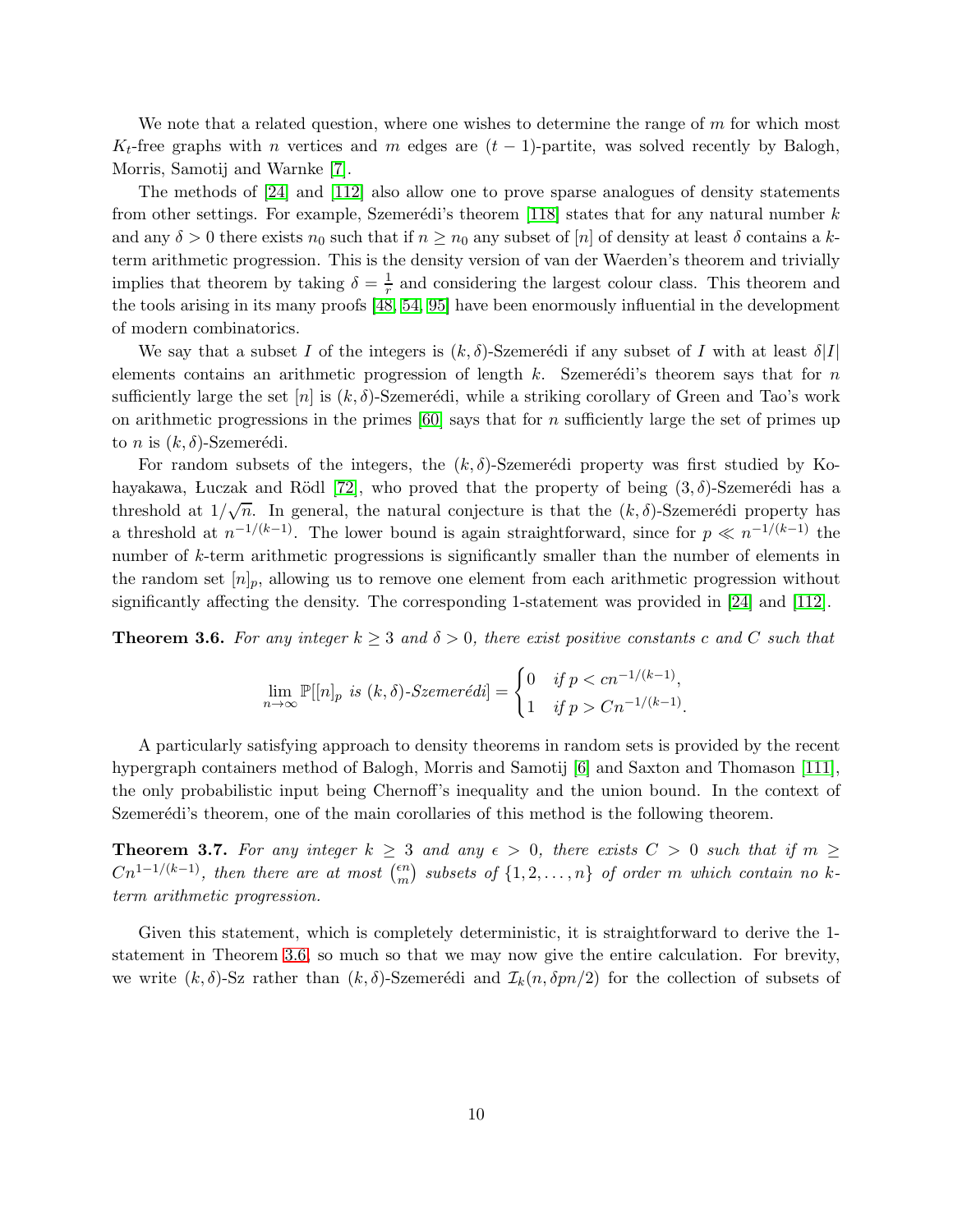We note that a related question, where one wishes to determine the range of  $m$  for which most  $K_t$ -free graphs with n vertices and m edges are  $(t-1)$ -partite, was solved recently by Balogh, Morris, Samotij and Warnke [\[7\]](#page-18-5).

The methods of [\[24\]](#page-19-3) and [\[112\]](#page-24-0) also allow one to prove sparse analogues of density statements from other settings. For example, Szemerédi's theorem [\[118\]](#page-25-4) states that for any natural number  $k$ and any  $\delta > 0$  there exists  $n_0$  such that if  $n \geq n_0$  any subset of [n] of density at least  $\delta$  contains a kterm arithmetic progression. This is the density version of van der Waerden's theorem and trivially implies that theorem by taking  $\delta = \frac{1}{r}$  $\frac{1}{r}$  and considering the largest colour class. This theorem and the tools arising in its many proofs [\[48,](#page-20-6) [54,](#page-21-12) [95\]](#page-23-12) have been enormously influential in the development of modern combinatorics.

We say that a subset I of the integers is  $(k, \delta)$ -Szemerédi if any subset of I with at least  $\delta|I|$ elements contains an arithmetic progression of length  $k$ . Szemerédi's theorem says that for n sufficiently large the set  $[n]$  is  $(k, \delta)$ -Szemerédi, while a striking corollary of Green and Tao's work on arithmetic progressions in the primes  $[60]$  says that for n sufficiently large the set of primes up to *n* is  $(k, \delta)$ -Szemerédi.

For random subsets of the integers, the  $(k, \delta)$ -Szemerédi property was first studied by Ko-hayakawa, Luczak and Rödl [\[72\]](#page-22-6), who proved that the property of being  $(3, \delta)$ -Szemerédi has a threshold at  $1/\sqrt{n}$ . In general, the natural conjecture is that the  $(k, \delta)$ -Szemerédi property has a threshold at  $n^{-1/(k-1)}$ . The lower bound is again straightforward, since for  $p \ll n^{-1/(k-1)}$  the number of k-term arithmetic progressions is significantly smaller than the number of elements in the random set  $[n]_p$ , allowing us to remove one element from each arithmetic progression without significantly affecting the density. The corresponding 1-statement was provided in [\[24\]](#page-19-3) and [\[112\]](#page-24-0).

<span id="page-9-0"></span>**Theorem 3.6.** For any integer  $k \geq 3$  and  $\delta > 0$ , there exist positive constants c and C such that

$$
\lim_{n \to \infty} \mathbb{P}[[n]_p \text{ is } (k, \delta)\text{-}Szemer\acute{e}di] = \begin{cases} 0 & \text{if } p < cn^{-1/(k-1)}, \\ 1 & \text{if } p > Cn^{-1/(k-1)}. \end{cases}
$$

A particularly satisfying approach to density theorems in random sets is provided by the recent hypergraph containers method of Balogh, Morris and Samotij [\[6\]](#page-18-1) and Saxton and Thomason [\[111\]](#page-24-1), the only probabilistic input being Chernoff's inequality and the union bound. In the context of Szemerédi's theorem, one of the main corollaries of this method is the following theorem.

**Theorem 3.7.** For any integer  $k \geq 3$  and any  $\epsilon > 0$ , there exists  $C > 0$  such that if  $m \geq 1$  $Cn^{1-1/(k-1)}$ , then there are at most  $\binom{\epsilon n}{m}$  $\binom{en}{m}$  subsets of  $\{1, 2, \ldots, n\}$  of order m which contain no k*term arithmetic progression.*

Given this statement, which is completely deterministic, it is straightforward to derive the 1 statement in Theorem [3.6,](#page-9-0) so much so that we may now give the entire calculation. For brevity, we write  $(k, \delta)$ -Sz rather than  $(k, \delta)$ -Szemerédi and  $\mathcal{I}_k(n, \delta pn/2)$  for the collection of subsets of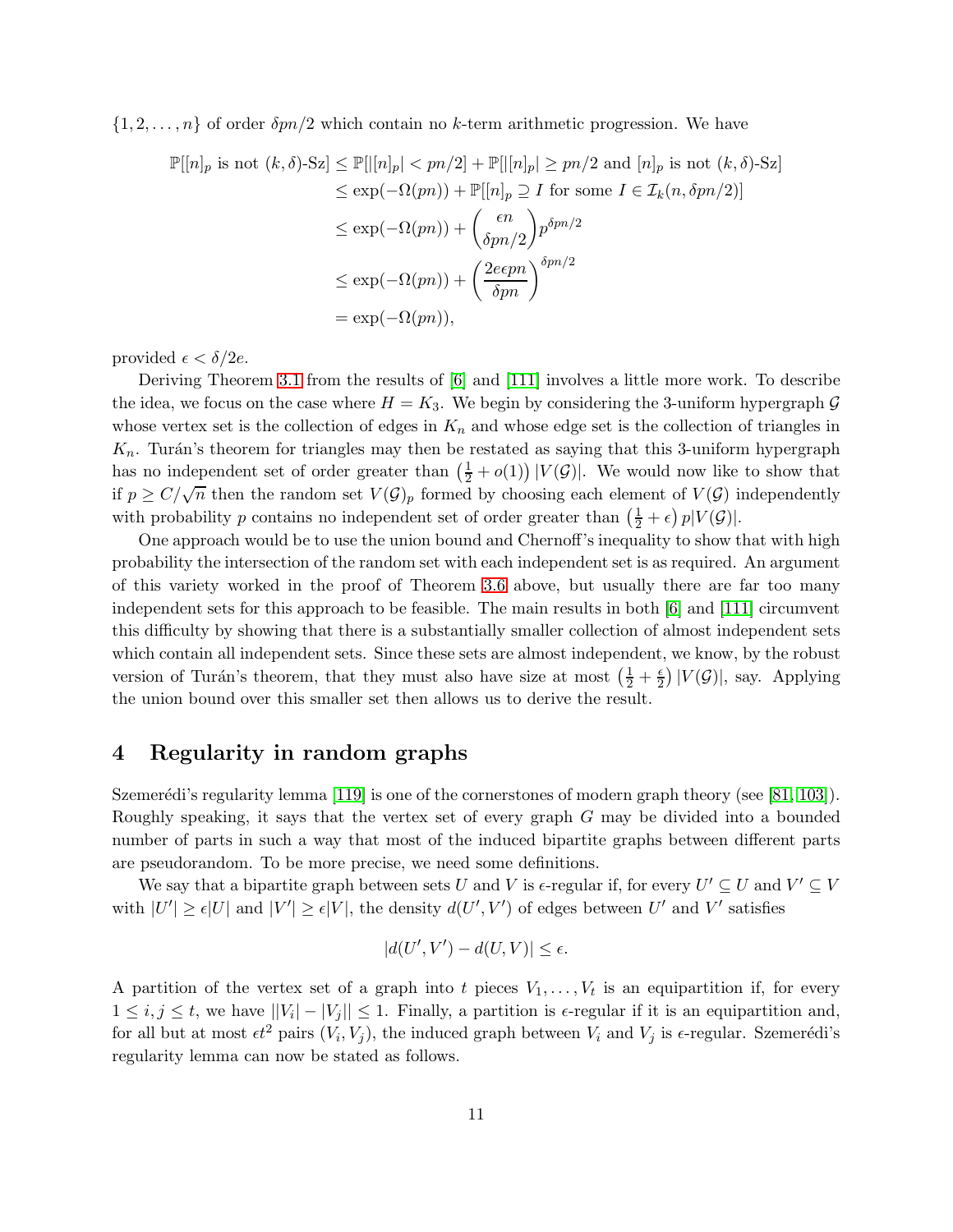$\{1, 2, \ldots, n\}$  of order  $\delta pn/2$  which contain no k-term arithmetic progression. We have

$$
\mathbb{P}[[n]_p \text{ is not } (k,\delta)\text{-Sz}] \le \mathbb{P}[[n]_p| < pn/2] + \mathbb{P}[[n]_p| \ge pn/2 \text{ and } [n]_p \text{ is not } (k,\delta)\text{-Sz}]
$$
\n
$$
\le \exp(-\Omega(pn)) + \mathbb{P}[[n]_p \supseteq I \text{ for some } I \in \mathcal{I}_k(n,\delta pn/2)]
$$
\n
$$
\le \exp(-\Omega(pn)) + \left(\frac{\epsilon n}{\delta pn/2}\right) p^{\delta pn/2}
$$
\n
$$
\le \exp(-\Omega(pn)) + \left(\frac{2\epsilon \epsilon pn}{\delta pn}\right)^{\delta pn/2}
$$
\n
$$
= \exp(-\Omega(pn)),
$$

provided  $\epsilon < \delta/2e$ .

Deriving Theorem [3.1](#page-7-0) from the results of [\[6\]](#page-18-1) and [\[111\]](#page-24-1) involves a little more work. To describe the idea, we focus on the case where  $H = K_3$ . We begin by considering the 3-uniform hypergraph G whose vertex set is the collection of edges in  $K_n$  and whose edge set is the collection of triangles in  $K_n$ . Turán's theorem for triangles may then be restated as saying that this 3-uniform hypergraph has no independent set of order greater than  $(\frac{1}{2} + o(1)) |V(\mathcal{G})|$ . We would now like to show that if  $p \ge C/\sqrt{n}$  then the random set  $V(\mathcal{G})_p$  formed by choosing each element of  $V(\mathcal{G})$  independently with probability p contains no independent set of order greater than  $(\frac{1}{2} + \epsilon) p|V(\mathcal{G})|$ .

One approach would be to use the union bound and Chernoff's inequality to show that with high probability the intersection of the random set with each independent set is as required. An argument of this variety worked in the proof of Theorem [3.6](#page-9-0) above, but usually there are far too many independent sets for this approach to be feasible. The main results in both [\[6\]](#page-18-1) and [\[111\]](#page-24-1) circumvent this difficulty by showing that there is a substantially smaller collection of almost independent sets which contain all independent sets. Since these sets are almost independent, we know, by the robust version of Turán's theorem, that they must also have size at most  $(\frac{1}{2} + \frac{\epsilon}{2}) |V(\mathcal{G})|$ , say. Applying the union bound over this smaller set then allows us to derive the result.

## <span id="page-10-0"></span>4 Regularity in random graphs

Szemerédi's regularity lemma [\[119\]](#page-25-5) is one of the cornerstones of modern graph theory (see [\[81,](#page-22-7) [103\]](#page-24-13)). Roughly speaking, it says that the vertex set of every graph G may be divided into a bounded number of parts in such a way that most of the induced bipartite graphs between different parts are pseudorandom. To be more precise, we need some definitions.

We say that a bipartite graph between sets U and V is  $\epsilon$ -regular if, for every  $U' \subseteq U$  and  $V' \subseteq V$ with  $|U'| \ge \epsilon |U|$  and  $|V'| \ge \epsilon |V|$ , the density  $d(U', V')$  of edges between U' and V' satisfies

$$
|d(U',V') - d(U,V)| \le \epsilon.
$$

A partition of the vertex set of a graph into t pieces  $V_1, \ldots, V_t$  is an equipartition if, for every  $1 \leq i, j \leq t$ , we have  $||V_i| - |V_j|| \leq 1$ . Finally, a partition is  $\epsilon$ -regular if it is an equipartition and, for all but at most  $\epsilon t^2$  pairs  $(V_i, V_j)$ , the induced graph between  $V_i$  and  $V_j$  is  $\epsilon$ -regular. Szemerédi's regularity lemma can now be stated as follows.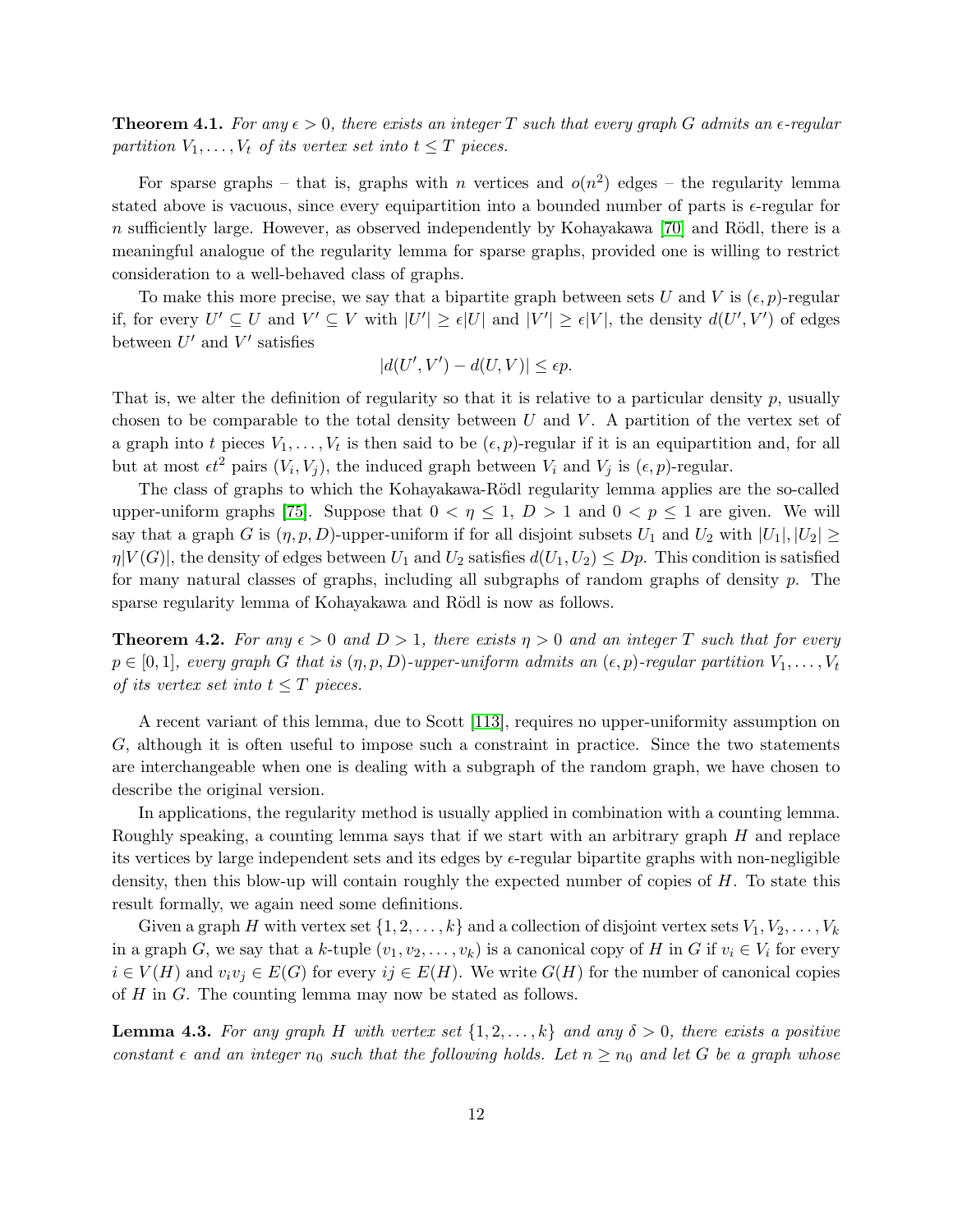**Theorem 4.1.** For any  $\epsilon > 0$ , there exists an integer T such that every graph G admits an  $\epsilon$ -regular *partition*  $V_1, \ldots, V_t$  *of its vertex set into*  $t \leq T$  *pieces.* 

For sparse graphs – that is, graphs with n vertices and  $o(n^2)$  edges – the regularity lemma stated above is vacuous, since every equipartition into a bounded number of parts is  $\epsilon$ -regular for n sufficiently large. However, as observed independently by Kohayakawa [\[70\]](#page-22-8) and Rödl, there is a meaningful analogue of the regularity lemma for sparse graphs, provided one is willing to restrict consideration to a well-behaved class of graphs.

To make this more precise, we say that a bipartite graph between sets U and V is  $(\epsilon, p)$ -regular if, for every  $U' \subseteq U$  and  $V' \subseteq V$  with  $|U'| \geq \epsilon |U|$  and  $|V'| \geq \epsilon |V|$ , the density  $d(U', V')$  of edges between  $U'$  and  $V'$  satisfies

$$
|d(U',V') - d(U,V)| \le \epsilon p.
$$

That is, we alter the definition of regularity so that it is relative to a particular density  $p$ , usually chosen to be comparable to the total density between  $U$  and  $V$ . A partition of the vertex set of a graph into t pieces  $V_1, \ldots, V_t$  is then said to be  $(\epsilon, p)$ -regular if it is an equipartition and, for all but at most  $\epsilon t^2$  pairs  $(V_i, V_j)$ , the induced graph between  $V_i$  and  $V_j$  is  $(\epsilon, p)$ -regular.

The class of graphs to which the Kohayakawa-Rödl regularity lemma applies are the so-called upper-uniform graphs [\[75\]](#page-22-9). Suppose that  $0 < \eta \leq 1$ ,  $D > 1$  and  $0 < p \leq 1$  are given. We will say that a graph G is  $(\eta, p, D)$ -upper-uniform if for all disjoint subsets  $U_1$  and  $U_2$  with  $|U_1|, |U_2| \ge$  $\eta|V(G)|$ , the density of edges between  $U_1$  and  $U_2$  satisfies  $d(U_1, U_2) \leq Dp$ . This condition is satisfied for many natural classes of graphs, including all subgraphs of random graphs of density p. The sparse regularity lemma of Kohayakawa and Rödl is now as follows.

**Theorem 4.2.** For any  $\epsilon > 0$  and  $D > 1$ , there exists  $\eta > 0$  and an integer T such that for every  $p \in [0,1]$ , every graph G that is  $(\eta, p, D)$ -upper-uniform admits an  $(\epsilon, p)$ -regular partition  $V_1, \ldots, V_t$ *of its vertex set into*  $t \leq T$  *pieces.* 

A recent variant of this lemma, due to Scott [\[113\]](#page-24-14), requires no upper-uniformity assumption on G, although it is often useful to impose such a constraint in practice. Since the two statements are interchangeable when one is dealing with a subgraph of the random graph, we have chosen to describe the original version.

In applications, the regularity method is usually applied in combination with a counting lemma. Roughly speaking, a counting lemma says that if we start with an arbitrary graph H and replace its vertices by large independent sets and its edges by  $\epsilon$ -regular bipartite graphs with non-negligible density, then this blow-up will contain roughly the expected number of copies of H. To state this result formally, we again need some definitions.

Given a graph H with vertex set  $\{1, 2, \ldots, k\}$  and a collection of disjoint vertex sets  $V_1, V_2, \ldots, V_k$ in a graph G, we say that a k-tuple  $(v_1, v_2, \ldots, v_k)$  is a canonical copy of H in G if  $v_i \in V_i$  for every  $i \in V(H)$  and  $v_i v_j \in E(G)$  for every  $ij \in E(H)$ . We write  $G(H)$  for the number of canonical copies of H in G. The counting lemma may now be stated as follows.

<span id="page-11-0"></span>**Lemma 4.3.** For any graph H with vertex set  $\{1, 2, ..., k\}$  and any  $\delta > 0$ , there exists a positive *constant*  $\epsilon$  *and an integer*  $n_0$  *such that the following holds. Let*  $n \geq n_0$  *and let* G *be a graph whose*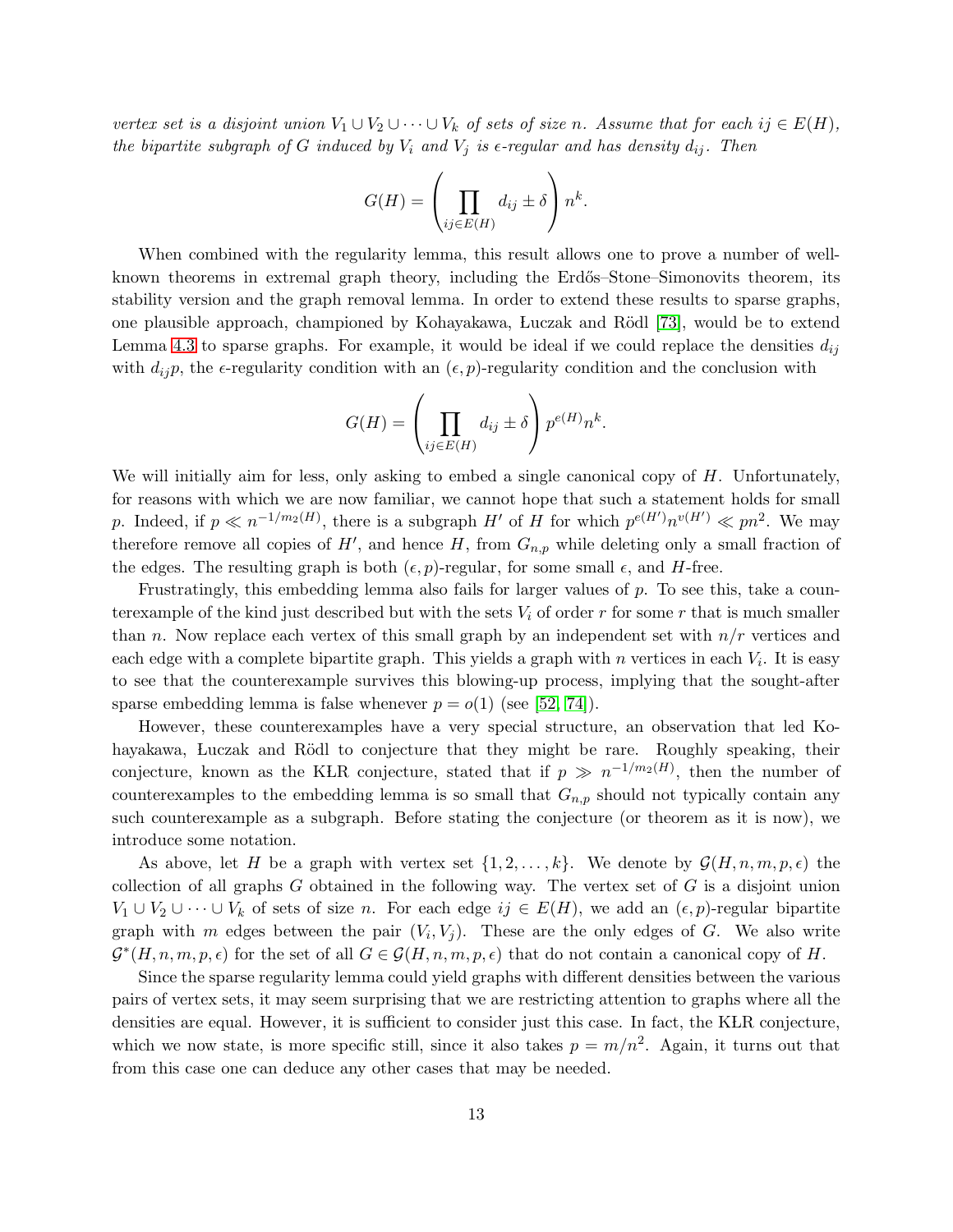*vertex set is a disjoint union*  $V_1 \cup V_2 \cup \cdots \cup V_k$  *of sets of size n. Assume that for each ij*  $\in E(H)$ *, the bipartite subgraph of* G *induced by*  $V_i$  *and*  $V_j$  *is*  $\epsilon$ -regular and has density  $d_{ij}$ . Then

$$
G(H) = \left(\prod_{ij \in E(H)} d_{ij} \pm \delta\right) n^k.
$$

When combined with the regularity lemma, this result allows one to prove a number of wellknown theorems in extremal graph theory, including the Erdős–Stone–Simonovits theorem, its stability version and the graph removal lemma. In order to extend these results to sparse graphs, one plausible approach, championed by Kohayakawa, Luczak and Rödl [\[73\]](#page-22-3), would be to extend Lemma [4.3](#page-11-0) to sparse graphs. For example, it would be ideal if we could replace the densities  $d_{ij}$ with  $d_{ij}$ , the  $\epsilon$ -regularity condition with an  $(\epsilon, p)$ -regularity condition and the conclusion with

$$
G(H) = \left(\prod_{ij \in E(H)} d_{ij} \pm \delta\right) p^{e(H)} n^k.
$$

We will initially aim for less, only asking to embed a single canonical copy of  $H$ . Unfortunately, for reasons with which we are now familiar, we cannot hope that such a statement holds for small p. Indeed, if  $p \ll n^{-1/m_2(H)}$ , there is a subgraph H' of H for which  $p^{e(H')}n^{v(H')} \ll pn^2$ . We may therefore remove all copies of  $H'$ , and hence  $H$ , from  $G_{n,p}$  while deleting only a small fraction of the edges. The resulting graph is both  $(\epsilon, p)$ -regular, for some small  $\epsilon$ , and H-free.

Frustratingly, this embedding lemma also fails for larger values of  $p$ . To see this, take a counterexample of the kind just described but with the sets  $V_i$  of order r for some r that is much smaller than n. Now replace each vertex of this small graph by an independent set with  $n/r$  vertices and each edge with a complete bipartite graph. This yields a graph with  $n$  vertices in each  $V_i$ . It is easy to see that the counterexample survives this blowing-up process, implying that the sought-after sparse embedding lemma is false whenever  $p = o(1)$  (see [\[52,](#page-21-13) [74\]](#page-22-10)).

However, these counterexamples have a very special structure, an observation that led Kohayakawa, Luczak and Rödl to conjecture that they might be rare. Roughly speaking, their conjecture, known as the KLR conjecture, stated that if  $p \gg n^{-1/m_2(H)}$ , then the number of counterexamples to the embedding lemma is so small that  $G_{n,p}$  should not typically contain any such counterexample as a subgraph. Before stating the conjecture (or theorem as it is now), we introduce some notation.

As above, let H be a graph with vertex set  $\{1, 2, \ldots, k\}$ . We denote by  $\mathcal{G}(H, n, m, p, \epsilon)$  the collection of all graphs  $G$  obtained in the following way. The vertex set of  $G$  is a disjoint union  $V_1 \cup V_2 \cup \cdots \cup V_k$  of sets of size n. For each edge  $ij \in E(H)$ , we add an  $(\epsilon, p)$ -regular bipartite graph with m edges between the pair  $(V_i, V_j)$ . These are the only edges of G. We also write  $\mathcal{G}^*(H,n,m,p,\epsilon)$  for the set of all  $G \in \mathcal{G}(H,n,m,p,\epsilon)$  that do not contain a canonical copy of H.

Since the sparse regularity lemma could yield graphs with different densities between the various pairs of vertex sets, it may seem surprising that we are restricting attention to graphs where all the densities are equal. However, it is sufficient to consider just this case. In fact, the KLR conjecture, which we now state, is more specific still, since it also takes  $p = m/n^2$ . Again, it turns out that from this case one can deduce any other cases that may be needed.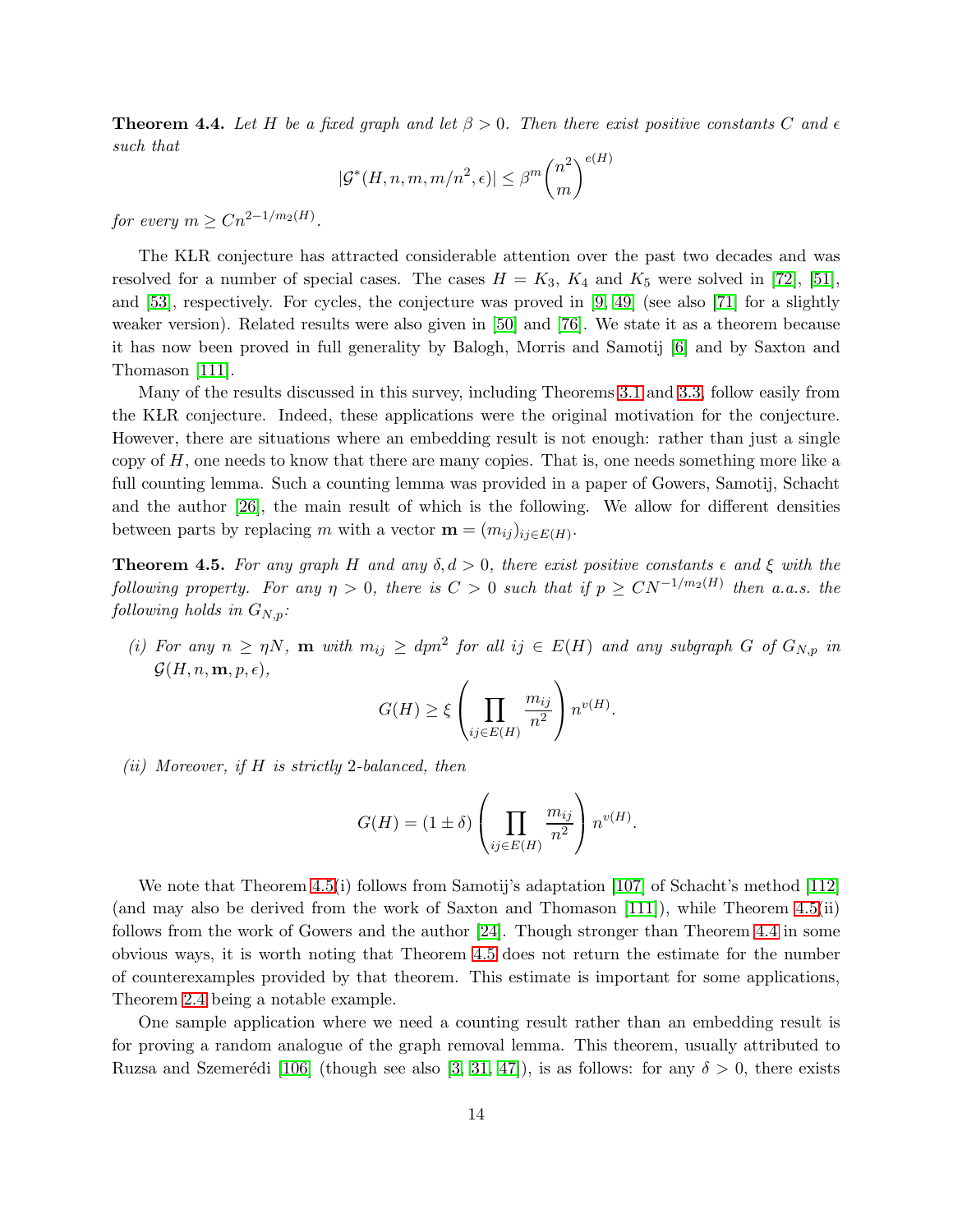<span id="page-13-1"></span>**Theorem 4.4.** Let H be a fixed graph and let  $\beta > 0$ . Then there exist positive constants C and  $\epsilon$ *such that*

$$
|\mathcal{G}^*(H,n,m,m/n^2,\epsilon)| \leq \beta^m \binom{n^2}{m}^{e(H)}
$$

*for every*  $m \geq C n^{2-1/m_2(H)}$ .

The KLR conjecture has attracted considerable attention over the past two decades and was resolved for a number of special cases. The cases  $H = K_3$ ,  $K_4$  and  $K_5$  were solved in [\[72\]](#page-22-6), [\[51\]](#page-20-7), and [\[53\]](#page-21-10), respectively. For cycles, the conjecture was proved in [\[9,](#page-18-6) [49\]](#page-20-8) (see also [\[71\]](#page-22-1) for a slightly weaker version). Related results were also given in [\[50\]](#page-20-9) and [\[76\]](#page-22-4). We state it as a theorem because it has now been proved in full generality by Balogh, Morris and Samotij [\[6\]](#page-18-1) and by Saxton and Thomason [\[111\]](#page-24-1).

Many of the results discussed in this survey, including Theorems [3.1](#page-7-0) and [3.3,](#page-8-0) follow easily from the KLR conjecture. Indeed, these applications were the original motivation for the conjecture. However, there are situations where an embedding result is not enough: rather than just a single copy of  $H$ , one needs to know that there are many copies. That is, one needs something more like a full counting lemma. Such a counting lemma was provided in a paper of Gowers, Samotij, Schacht and the author [\[26\]](#page-19-10), the main result of which is the following. We allow for different densities between parts by replacing m with a vector  $\mathbf{m} = (m_{ij})_{ij \in E(H)}$ .

<span id="page-13-0"></span>**Theorem 4.5.** *For any graph* H *and any*  $\delta, d > 0$ , *there exist positive constants*  $\epsilon$  *and*  $\xi$  *with the following property.* For any  $\eta > 0$ , there is  $C > 0$  such that if  $p \ge CN^{-1/m_2(H)}$  then a.a.s. the *following holds in*  $G_{N,p}$ *:* 

(*i*) For any  $n \geq \eta N$ , **m** with  $m_{ij} \geq dpn^2$  for all  $ij \in E(H)$  and any subgraph G of  $G_{N,p}$  in  $\mathcal{G}(H, n, \mathbf{m}, p, \epsilon)$ ,

$$
G(H) \ge \xi \left( \prod_{ij \in E(H)} \frac{m_{ij}}{n^2} \right) n^{v(H)}.
$$

*(ii) Moreover, if* H *is strictly* 2*-balanced, then*

$$
G(H) = (1 \pm \delta) \left( \prod_{ij \in E(H)} \frac{m_{ij}}{n^2} \right) n^{v(H)}.
$$

We note that Theorem [4.5\(](#page-13-0)i) follows from Samotij's adaptation [\[107\]](#page-24-12) of Schacht's method [\[112\]](#page-24-0) (and may also be derived from the work of Saxton and Thomason [\[111\]](#page-24-1)), while Theorem [4.5\(](#page-13-0)ii) follows from the work of Gowers and the author [\[24\]](#page-19-3). Though stronger than Theorem [4.4](#page-13-1) in some obvious ways, it is worth noting that Theorem [4.5](#page-13-0) does not return the estimate for the number of counterexamples provided by that theorem. This estimate is important for some applications, Theorem [2.4](#page-5-0) being a notable example.

One sample application where we need a counting result rather than an embedding result is for proving a random analogue of the graph removal lemma. This theorem, usually attributed to Ruzsa and Szemerédi [\[106\]](#page-24-15) (though see also [\[3,](#page-18-7) [31,](#page-19-11) [47\]](#page-20-10)), is as follows: for any  $\delta > 0$ , there exists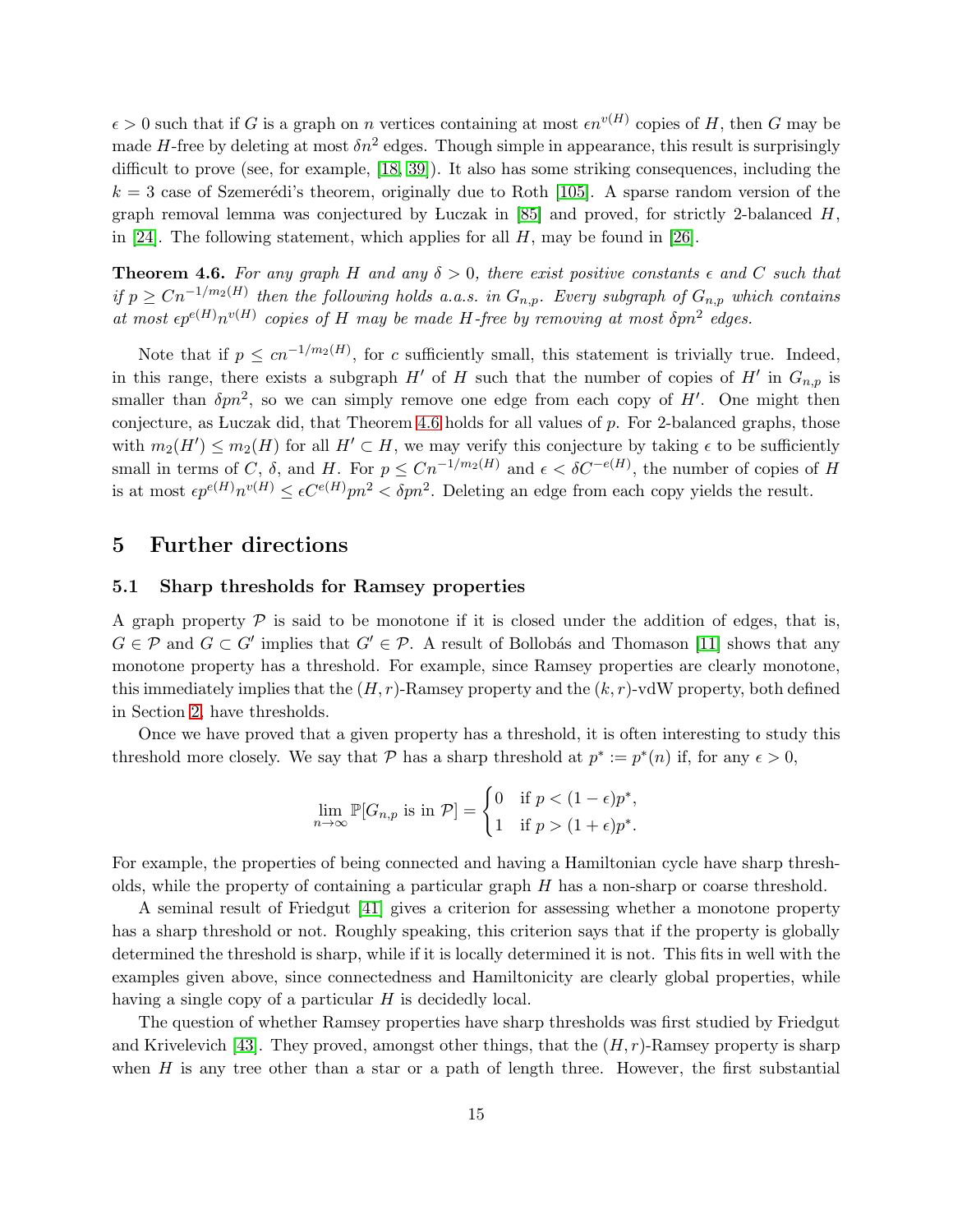$\epsilon > 0$  such that if G is a graph on n vertices containing at most  $\epsilon n^{v(H)}$  copies of H, then G may be made H-free by deleting at most  $\delta n^2$  edges. Though simple in appearance, this result is surprisingly difficult to prove (see, for example, [\[18,](#page-19-12) [39\]](#page-20-11)). It also has some striking consequences, including the  $k = 3$  case of Szemerédi's theorem, originally due to Roth [\[105\]](#page-24-16). A sparse random version of the graph removal lemma was conjectured by Luczak in  $[85]$  and proved, for strictly 2-balanced H, in [\[24\]](#page-19-3). The following statement, which applies for all  $H$ , may be found in [\[26\]](#page-19-10).

<span id="page-14-0"></span>**Theorem 4.6.** For any graph H and any  $\delta > 0$ , there exist positive constants  $\epsilon$  and C such that *if*  $p ≥ Cn^{-1/m_2(H)}$  then the following holds a.a.s. in  $G_{n,p}$ . Every subgraph of  $G_{n,p}$  which contains at most  $\epsilon p^{e(H)} n^{v(H)}$  copies of H may be made H-free by removing at most  $\delta p n^2$  edges.

Note that if  $p \leq cn^{-1/m_2(H)}$ , for c sufficiently small, this statement is trivially true. Indeed, in this range, there exists a subgraph  $H'$  of H such that the number of copies of  $H'$  in  $G_{n,p}$  is smaller than  $\delta pn^2$ , so we can simply remove one edge from each copy of H'. One might then conjecture, as Luczak did, that Theorem [4.6](#page-14-0) holds for all values of  $p$ . For 2-balanced graphs, those with  $m_2(H') \leq m_2(H)$  for all  $H' \subset H$ , we may verify this conjecture by taking  $\epsilon$  to be sufficiently small in terms of C,  $\delta$ , and H. For  $p \leq Cn^{-1/m_2(H)}$  and  $\epsilon < \delta C^{-e(H)}$ , the number of copies of H is at most  $\epsilon p^{e(H)} n^{v(H)} \leq \epsilon C^{e(H)} p n^2 < \delta p n^2$ . Deleting an edge from each copy yields the result.

### 5 Further directions

#### 5.1 Sharp thresholds for Ramsey properties

A graph property  $\mathcal P$  is said to be monotone if it is closed under the addition of edges, that is,  $G \in \mathcal{P}$  and  $G \subset G'$  implies that  $G' \in \mathcal{P}$ . A result of Bollobás and Thomason [\[11\]](#page-18-8) shows that any monotone property has a threshold. For example, since Ramsey properties are clearly monotone, this immediately implies that the  $(H, r)$ -Ramsey property and the  $(k, r)$ -vdW property, both defined in Section [2,](#page-1-0) have thresholds.

Once we have proved that a given property has a threshold, it is often interesting to study this threshold more closely. We say that  $P$  has a sharp threshold at  $p^* := p^*(n)$  if, for any  $\epsilon > 0$ ,

$$
\lim_{n \to \infty} \mathbb{P}[G_{n,p} \text{ is in } \mathcal{P}] = \begin{cases} 0 & \text{if } p < (1 - \epsilon)p^*, \\ 1 & \text{if } p > (1 + \epsilon)p^*. \end{cases}
$$

For example, the properties of being connected and having a Hamiltonian cycle have sharp thresholds, while the property of containing a particular graph  $H$  has a non-sharp or coarse threshold.

A seminal result of Friedgut [\[41\]](#page-20-12) gives a criterion for assessing whether a monotone property has a sharp threshold or not. Roughly speaking, this criterion says that if the property is globally determined the threshold is sharp, while if it is locally determined it is not. This fits in well with the examples given above, since connectedness and Hamiltonicity are clearly global properties, while having a single copy of a particular  $H$  is decidedly local.

The question of whether Ramsey properties have sharp thresholds was first studied by Friedgut and Krivelevich [\[43\]](#page-20-13). They proved, amongst other things, that the  $(H, r)$ -Ramsey property is sharp when  $H$  is any tree other than a star or a path of length three. However, the first substantial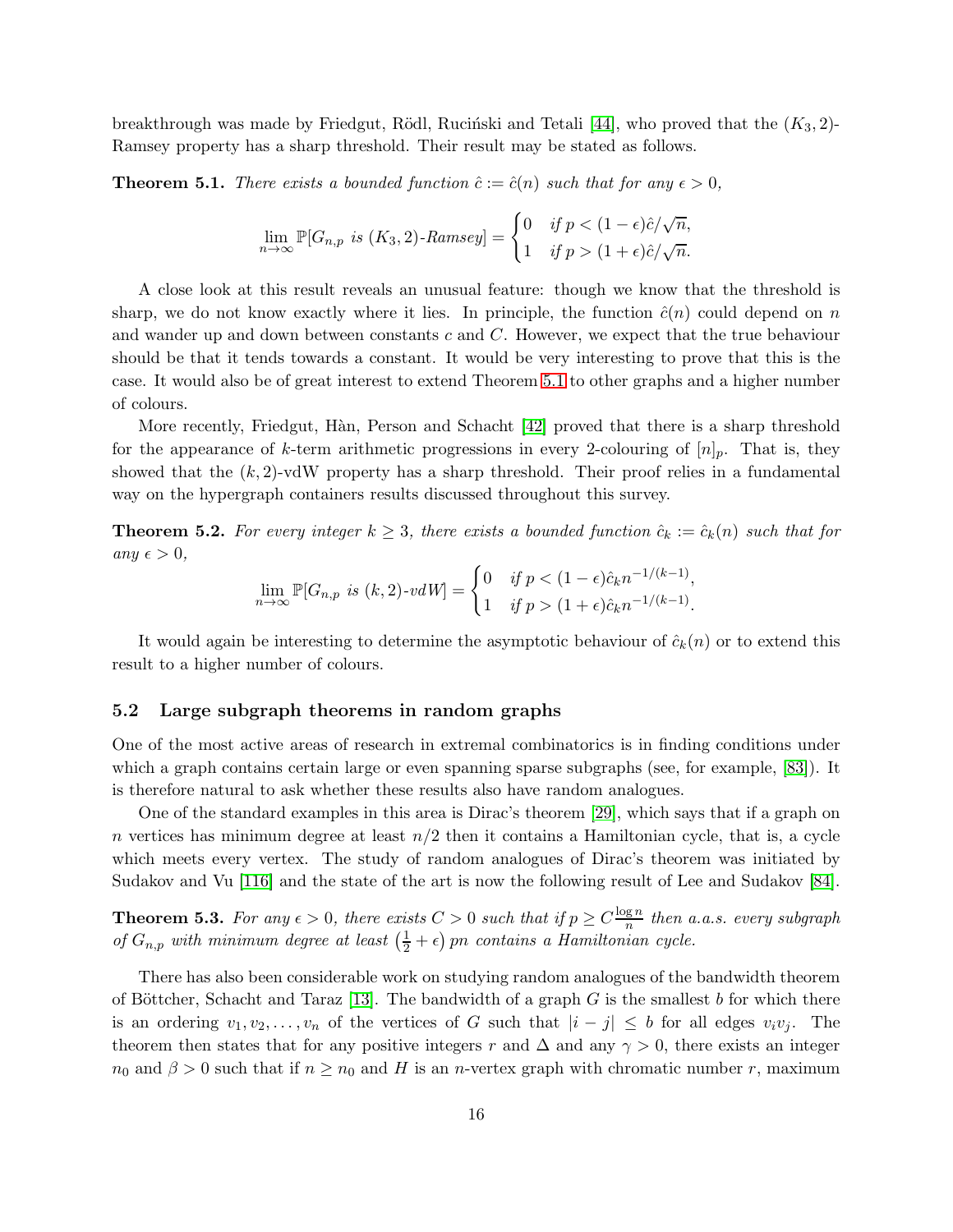breakthrough was made by Friedgut, Rödl, Ruciński and Tetali [\[44\]](#page-20-14), who proved that the  $(K_3, 2)$ -Ramsey property has a sharp threshold. Their result may be stated as follows.

<span id="page-15-0"></span>**Theorem 5.1.** *There exists a bounded function*  $\hat{c} := \hat{c}(n)$  *such that for any*  $\epsilon > 0$ *,* 

$$
\lim_{n \to \infty} \mathbb{P}[G_{n,p} \text{ is } (K_3, 2) \text{-Ramsey}] = \begin{cases} 0 & \text{if } p < (1 - \epsilon)\hat{c}/\sqrt{n}, \\ 1 & \text{if } p > (1 + \epsilon)\hat{c}/\sqrt{n}. \end{cases}
$$

A close look at this result reveals an unusual feature: though we know that the threshold is sharp, we do not know exactly where it lies. In principle, the function  $\hat{c}(n)$  could depend on n and wander up and down between constants c and C. However, we expect that the true behaviour should be that it tends towards a constant. It would be very interesting to prove that this is the case. It would also be of great interest to extend Theorem [5.1](#page-15-0) to other graphs and a higher number of colours.

More recently, Friedgut, Hàn, Person and Schacht [\[42\]](#page-20-15) proved that there is a sharp threshold for the appearance of k-term arithmetic progressions in every 2-colouring of  $[n]_p$ . That is, they showed that the  $(k, 2)$ -vdW property has a sharp threshold. Their proof relies in a fundamental way on the hypergraph containers results discussed throughout this survey.

**Theorem 5.2.** For every integer  $k \geq 3$ , there exists a bounded function  $\hat{c}_k := \hat{c}_k(n)$  such that for  $any \epsilon > 0,$ 

$$
\lim_{n \to \infty} \mathbb{P}[G_{n,p} \text{ is } (k,2)\text{-}vdW] = \begin{cases} 0 & \text{if } p < (1-\epsilon)\hat{c}_k n^{-1/(k-1)}, \\ 1 & \text{if } p > (1+\epsilon)\hat{c}_k n^{-1/(k-1)}. \end{cases}
$$

It would again be interesting to determine the asymptotic behaviour of  $\hat{c}_k(n)$  or to extend this result to a higher number of colours.

#### 5.2 Large subgraph theorems in random graphs

One of the most active areas of research in extremal combinatorics is in finding conditions under which a graph contains certain large or even spanning sparse subgraphs (see, for example, [\[83\]](#page-23-14)). It is therefore natural to ask whether these results also have random analogues.

One of the standard examples in this area is Dirac's theorem [\[29\]](#page-19-13), which says that if a graph on n vertices has minimum degree at least  $n/2$  then it contains a Hamiltonian cycle, that is, a cycle which meets every vertex. The study of random analogues of Dirac's theorem was initiated by Sudakov and Vu [\[116\]](#page-25-6) and the state of the art is now the following result of Lee and Sudakov [\[84\]](#page-23-15).

**Theorem 5.3.** For any  $\epsilon > 0$ , there exists  $C > 0$  such that if  $p \ge C \frac{\log n}{n}$  $\frac{g\,n}{n}$  then a.a.s. every subgraph *of*  $G_{n,p}$  *with minimum degree at least*  $\left(\frac{1}{2} + \epsilon\right)$  *pn contains a Hamiltonian cycle.* 

There has also been considerable work on studying random analogues of the bandwidth theorem of Böttcher, Schacht and Taraz [\[13\]](#page-18-9). The bandwidth of a graph  $G$  is the smallest b for which there is an ordering  $v_1, v_2, \ldots, v_n$  of the vertices of G such that  $|i-j| \leq b$  for all edges  $v_i v_j$ . The theorem then states that for any positive integers r and  $\Delta$  and any  $\gamma > 0$ , there exists an integer  $n_0$  and  $\beta > 0$  such that if  $n \geq n_0$  and H is an n-vertex graph with chromatic number r, maximum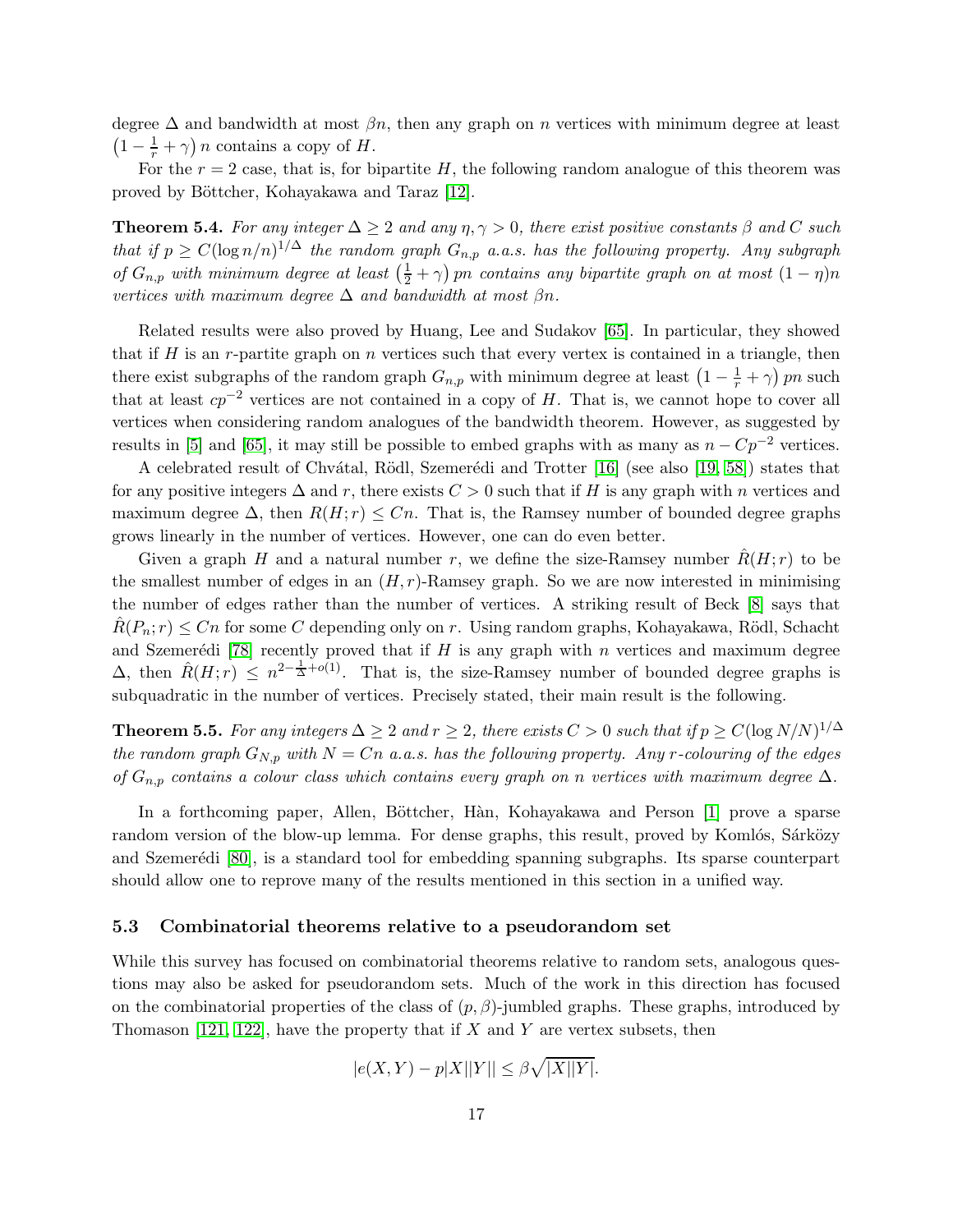degree  $\Delta$  and bandwidth at most  $\beta n$ , then any graph on n vertices with minimum degree at least  $\left(1-\frac{1}{r}+\gamma\right)n$  contains a copy of H.

For the  $r = 2$  case, that is, for bipartite H, the following random analogue of this theorem was proved by Böttcher, Kohayakawa and Taraz [\[12\]](#page-18-10).

**Theorem 5.4.** *For any integer*  $\Delta \geq 2$  *and any*  $\eta, \gamma > 0$ *, there exist positive constants*  $\beta$  *and* C *such that if*  $p \geq C(\log n/n)^{1/\Delta}$  *the random graph*  $G_{n,p}$  *a.a.s. has the following property. Any subgraph of*  $G_{n,p}$  *with minimum degree at least*  $\left(\frac{1}{2} + \gamma\right)$  *pn contains any bipartite graph on at most*  $(1 - \eta)n$ *vertices with maximum degree*  $\Delta$  *and bandwidth at most*  $\beta n$ .

Related results were also proved by Huang, Lee and Sudakov [\[65\]](#page-21-14). In particular, they showed that if H is an r-partite graph on n vertices such that every vertex is contained in a triangle, then there exist subgraphs of the random graph  $G_{n,p}$  with minimum degree at least  $\left(1 - \frac{1}{r} + \gamma\right)pn$  such that at least  $cp^{-2}$  vertices are not contained in a copy of H. That is, we cannot hope to cover all vertices when considering random analogues of the bandwidth theorem. However, as suggested by results in [\[5\]](#page-18-11) and [\[65\]](#page-21-14), it may still be possible to embed graphs with as many as  $n - Cp^{-2}$  vertices.

A celebrated result of Chvátal, Rödl, Szemerédi and Trotter [\[16\]](#page-18-12) (see also [\[19,](#page-19-14) [58\]](#page-21-15)) states that for any positive integers  $\Delta$  and r, there exists  $C > 0$  such that if H is any graph with n vertices and maximum degree  $\Delta$ , then  $R(H; r) \leq Cn$ . That is, the Ramsey number of bounded degree graphs grows linearly in the number of vertices. However, one can do even better.

Given a graph H and a natural number r, we define the size-Ramsey number  $R(H; r)$  to be the smallest number of edges in an  $(H, r)$ -Ramsey graph. So we are now interested in minimising the number of edges rather than the number of vertices. A striking result of Beck [\[8\]](#page-18-13) says that  $R(P_n; r) \leq Cn$  for some C depending only on r. Using random graphs, Kohayakawa, Rödl, Schacht and Szemerédi [\[78\]](#page-22-11) recently proved that if H is any graph with n vertices and maximum degree  $\Delta$ , then  $\hat{R}(H; r) \leq n^{2-\frac{1}{\Delta}+o(1)}$ . That is, the size-Ramsey number of bounded degree graphs is subquadratic in the number of vertices. Precisely stated, their main result is the following.

**Theorem 5.5.** For any integers  $\Delta \geq 2$  and  $r \geq 2$ , there exists  $C > 0$  such that if  $p \geq C(\log N/N)^{1/\Delta}$ *the random graph*  $G_{N,p}$  *with*  $N = Cn$  *a.a.s.* has the following property. Any r-colouring of the edges *of* Gn,p *contains a colour class which contains every graph on* n *vertices with maximum degree* ∆*.*

In a forthcoming paper, Allen, Böttcher, Hàn, Kohayakawa and Person [\[1\]](#page-18-14) prove a sparse random version of the blow-up lemma. For dense graphs, this result, proved by Komlós, Sárközy and Szemerédi [\[80\]](#page-22-12), is a standard tool for embedding spanning subgraphs. Its sparse counterpart should allow one to reprove many of the results mentioned in this section in a unified way.

#### 5.3 Combinatorial theorems relative to a pseudorandom set

While this survey has focused on combinatorial theorems relative to random sets, analogous questions may also be asked for pseudorandom sets. Much of the work in this direction has focused on the combinatorial properties of the class of  $(p, \beta)$ -jumbled graphs. These graphs, introduced by Thomason [\[121,](#page-25-7) [122\]](#page-25-8), have the property that if X and Y are vertex subsets, then

$$
|e(X,Y) - p|X||Y|| \le \beta \sqrt{|X||Y|}.
$$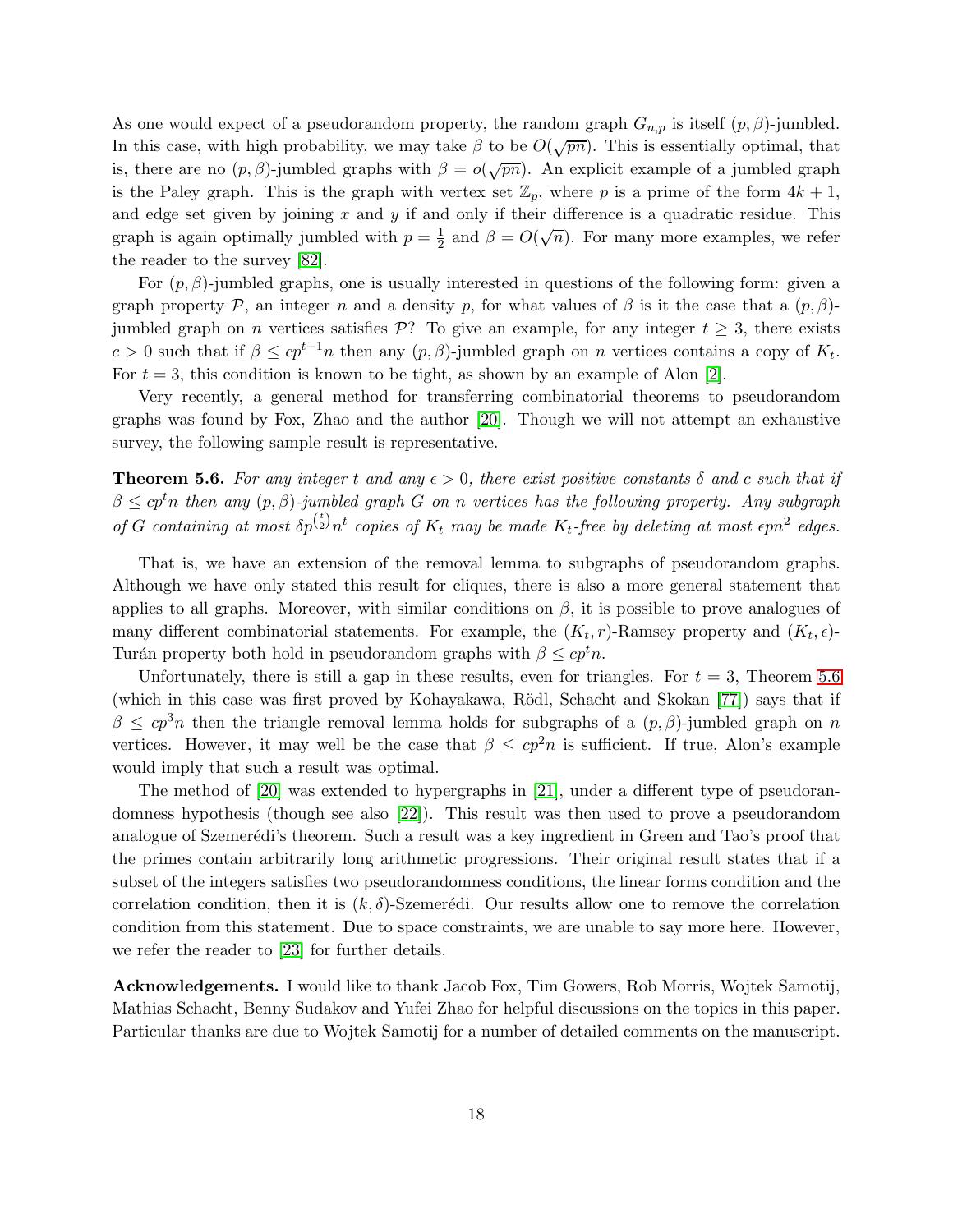As one would expect of a pseudorandom property, the random graph  $G_{n,p}$  is itself  $(p, \beta)$ -jumbled. In this case, with high probability, we may take  $\beta$  to be  $O(\sqrt{pn})$ . This is essentially optimal, that is, there are no  $(p, \beta)$ -jumbled graphs with  $\beta = o(\sqrt{pn})$ . An explicit example of a jumbled graph is the Paley graph. This is the graph with vertex set  $\mathbb{Z}_p$ , where p is a prime of the form  $4k+1$ , and edge set given by joining  $x$  and  $y$  if and only if their difference is a quadratic residue. This graph is again optimally jumbled with  $p=\frac{1}{2}$  $\frac{1}{2}$  and  $\beta = O(\sqrt{n})$ . For many more examples, we refer the reader to the survey [\[82\]](#page-22-13).

For  $(p, \beta)$ -jumbled graphs, one is usually interested in questions of the following form: given a graph property P, an integer n and a density p, for what values of  $\beta$  is it the case that a  $(p, \beta)$ jumbled graph on *n* vertices satisfies P? To give an example, for any integer  $t \geq 3$ , there exists c > 0 such that if  $\beta \leq cp^{t-1}n$  then any  $(p, \beta)$ -jumbled graph on n vertices contains a copy of  $K_t$ . For  $t = 3$ , this condition is known to be tight, as shown by an example of Alon [\[2\]](#page-18-15).

Very recently, a general method for transferring combinatorial theorems to pseudorandom graphs was found by Fox, Zhao and the author [\[20\]](#page-19-15). Though we will not attempt an exhaustive survey, the following sample result is representative.

<span id="page-17-0"></span>**Theorem 5.6.** For any integer t and any  $\epsilon > 0$ , there exist positive constants  $\delta$  and c such that if  $\beta \leq c p^t n$  then any  $(p, \beta)$ -jumbled graph G on n vertices has the following property. Any subgraph  $\int$  *of G containing at most*  $\delta p^{t}$  $\int_{2}^{t} n^{t}$  copies of  $K_{t}$  may be made  $K_{t}$ -free by deleting at most  $\epsilon p n^{2}$  edges.

That is, we have an extension of the removal lemma to subgraphs of pseudorandom graphs. Although we have only stated this result for cliques, there is also a more general statement that applies to all graphs. Moreover, with similar conditions on  $\beta$ , it is possible to prove analogues of many different combinatorial statements. For example, the  $(K_t, r)$ -Ramsey property and  $(K_t, \epsilon)$ -Turán property both hold in pseudorandom graphs with  $\beta \leq c p^t n$ .

Unfortunately, there is still a gap in these results, even for triangles. For  $t = 3$ , Theorem [5.6](#page-17-0) (which in this case was first proved by Kohayakawa, R¨odl, Schacht and Skokan [\[77\]](#page-22-14)) says that if  $\beta \leq cp^3n$  then the triangle removal lemma holds for subgraphs of a  $(p, \beta)$ -jumbled graph on n vertices. However, it may well be the case that  $\beta \leq cp^2n$  is sufficient. If true, Alon's example would imply that such a result was optimal.

The method of [\[20\]](#page-19-15) was extended to hypergraphs in [\[21\]](#page-19-16), under a different type of pseudorandomness hypothesis (though see also [\[22\]](#page-19-17)). This result was then used to prove a pseudorandom analogue of Szemerédi's theorem. Such a result was a key ingredient in Green and Tao's proof that the primes contain arbitrarily long arithmetic progressions. Their original result states that if a subset of the integers satisfies two pseudorandomness conditions, the linear forms condition and the correlation condition, then it is  $(k, \delta)$ -Szemerédi. Our results allow one to remove the correlation condition from this statement. Due to space constraints, we are unable to say more here. However, we refer the reader to [\[23\]](#page-19-18) for further details.

Acknowledgements. I would like to thank Jacob Fox, Tim Gowers, Rob Morris, Wojtek Samotij, Mathias Schacht, Benny Sudakov and Yufei Zhao for helpful discussions on the topics in this paper. Particular thanks are due to Wojtek Samotij for a number of detailed comments on the manuscript.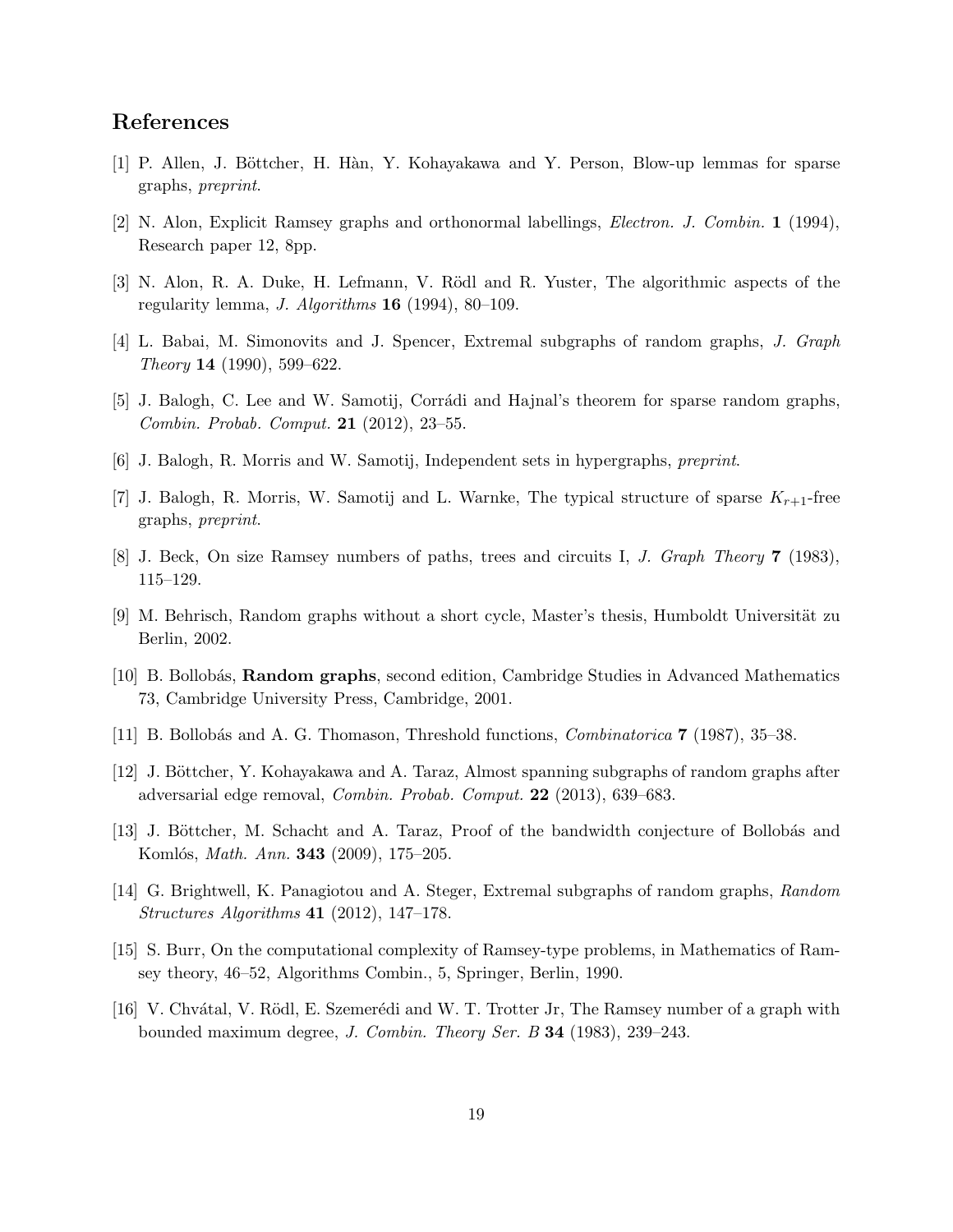## <span id="page-18-14"></span>References

- <span id="page-18-15"></span>[1] P. Allen, J. Böttcher, H. Hàn, Y. Kohayakawa and Y. Person, Blow-up lemmas for sparse graphs, *preprint*.
- <span id="page-18-7"></span>[2] N. Alon, Explicit Ramsey graphs and orthonormal labellings, *Electron. J. Combin.* 1 (1994), Research paper 12, 8pp.
- <span id="page-18-3"></span>[3] N. Alon, R. A. Duke, H. Lefmann, V. Rödl and R. Yuster, The algorithmic aspects of the regularity lemma, *J. Algorithms* 16 (1994), 80–109.
- <span id="page-18-11"></span>[4] L. Babai, M. Simonovits and J. Spencer, Extremal subgraphs of random graphs, *J. Graph Theory* 14 (1990), 599–622.
- <span id="page-18-1"></span>[5] J. Balogh, C. Lee and W. Samotij, Corrádi and Hajnal's theorem for sparse random graphs, *Combin. Probab. Comput.* 21 (2012), 23–55.
- <span id="page-18-5"></span>[6] J. Balogh, R. Morris and W. Samotij, Independent sets in hypergraphs, *preprint*.
- <span id="page-18-13"></span>[7] J. Balogh, R. Morris, W. Samotij and L. Warnke, The typical structure of sparse  $K_{r+1}$ -free graphs, *preprint*.
- <span id="page-18-6"></span>[8] J. Beck, On size Ramsey numbers of paths, trees and circuits I, *J. Graph Theory* 7 (1983), 115–129.
- <span id="page-18-0"></span>[9] M. Behrisch, Random graphs without a short cycle, Master's thesis, Humboldt Universität zu Berlin, 2002.
- <span id="page-18-8"></span>[10] B. Bollobás, **Random graphs**, second edition, Cambridge Studies in Advanced Mathematics 73, Cambridge University Press, Cambridge, 2001.
- <span id="page-18-10"></span>[11] B. Bollob´as and A. G. Thomason, Threshold functions, *Combinatorica* 7 (1987), 35–38.
- <span id="page-18-9"></span>[12] J. Böttcher, Y. Kohayakawa and A. Taraz, Almost spanning subgraphs of random graphs after adversarial edge removal, *Combin. Probab. Comput.* 22 (2013), 639–683.
- <span id="page-18-4"></span>[13] J. Böttcher, M. Schacht and A. Taraz, Proof of the bandwidth conjecture of Bollobás and Koml´os, *Math. Ann.* 343 (2009), 175–205.
- <span id="page-18-2"></span>[14] G. Brightwell, K. Panagiotou and A. Steger, Extremal subgraphs of random graphs, *Random Structures Algorithms* 41 (2012), 147–178.
- <span id="page-18-12"></span>[15] S. Burr, On the computational complexity of Ramsey-type problems, in Mathematics of Ramsey theory, 46–52, Algorithms Combin., 5, Springer, Berlin, 1990.
- [16] V. Chvátal, V. Rödl, E. Szemerédi and W. T. Trotter Jr, The Ramsey number of a graph with bounded maximum degree, *J. Combin. Theory Ser. B* 34 (1983), 239–243.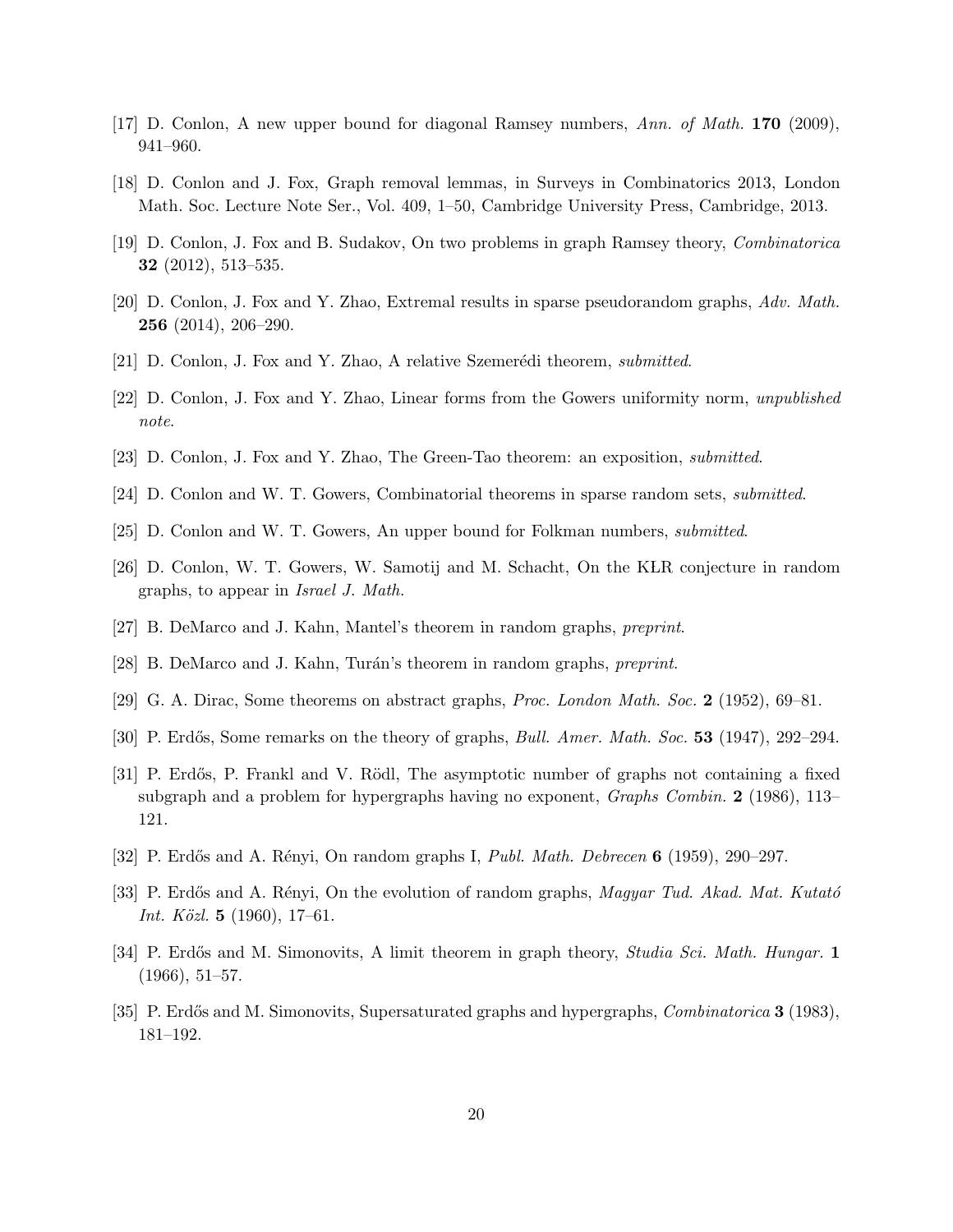- <span id="page-19-12"></span><span id="page-19-4"></span>[17] D. Conlon, A new upper bound for diagonal Ramsey numbers, *Ann. of Math.* 170 (2009), 941–960.
- <span id="page-19-14"></span>[18] D. Conlon and J. Fox, Graph removal lemmas, in Surveys in Combinatorics 2013, London Math. Soc. Lecture Note Ser., Vol. 409, 1–50, Cambridge University Press, Cambridge, 2013.
- <span id="page-19-15"></span>[19] D. Conlon, J. Fox and B. Sudakov, On two problems in graph Ramsey theory, *Combinatorica* 32 (2012), 513–535.
- <span id="page-19-16"></span>[20] D. Conlon, J. Fox and Y. Zhao, Extremal results in sparse pseudorandom graphs, *Adv. Math.* 256 (2014), 206–290.
- <span id="page-19-17"></span>[21] D. Conlon, J. Fox and Y. Zhao, A relative Szemer´edi theorem, *submitted*.
- <span id="page-19-18"></span>[22] D. Conlon, J. Fox and Y. Zhao, Linear forms from the Gowers uniformity norm, *unpublished note*.
- <span id="page-19-3"></span>[23] D. Conlon, J. Fox and Y. Zhao, The Green-Tao theorem: an exposition, *submitted*.
- <span id="page-19-5"></span>[24] D. Conlon and W. T. Gowers, Combinatorial theorems in sparse random sets, *submitted*.
- <span id="page-19-10"></span>[25] D. Conlon and W. T. Gowers, An upper bound for Folkman numbers, *submitted*.
- <span id="page-19-8"></span>[26] D. Conlon, W. T. Gowers, W. Samotij and M. Schacht, On the KLR conjecture in random graphs, to appear in *Israel J. Math.*
- <span id="page-19-9"></span>[27] B. DeMarco and J. Kahn, Mantel's theorem in random graphs, *preprint*.
- <span id="page-19-13"></span>[28] B. DeMarco and J. Kahn, Tur´an's theorem in random graphs, *preprint*.
- <span id="page-19-0"></span>[29] G. A. Dirac, Some theorems on abstract graphs, *Proc. London Math. Soc.* 2 (1952), 69–81.
- <span id="page-19-11"></span>[30] P. Erd˝os, Some remarks on the theory of graphs, *Bull. Amer. Math. Soc.* 53 (1947), 292–294.
- [31] P. Erdős, P. Frankl and V. Rödl, The asymptotic number of graphs not containing a fixed subgraph and a problem for hypergraphs having no exponent, *Graphs Combin.* 2 (1986), 113– 121.
- <span id="page-19-2"></span><span id="page-19-1"></span>[32] P. Erd˝os and A. R´enyi, On random graphs I, *Publ. Math. Debrecen* 6 (1959), 290–297.
- <span id="page-19-6"></span>[33] P. Erdős and A. Rényi, On the evolution of random graphs, *Magyar Tud. Akad. Mat. Kutató Int. K¨ozl.* 5 (1960), 17–61.
- <span id="page-19-7"></span>[34] P. Erd˝os and M. Simonovits, A limit theorem in graph theory, *Studia Sci. Math. Hungar.* 1  $(1966), 51–57.$
- [35] P. Erdős and M. Simonovits, Supersaturated graphs and hypergraphs, *Combinatorica* **3** (1983), 181–192.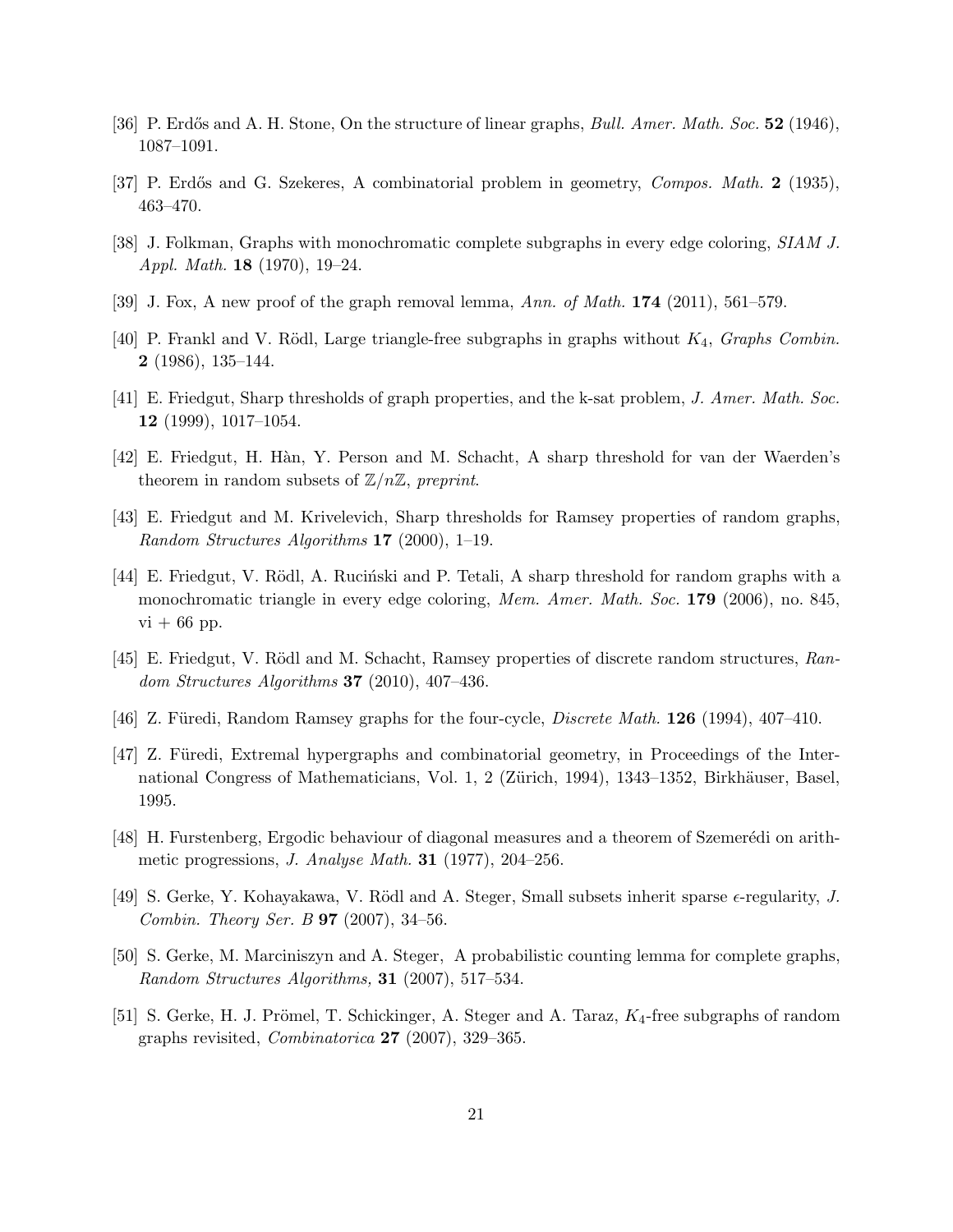- <span id="page-20-4"></span><span id="page-20-3"></span>[36] P. Erdős and A. H. Stone, On the structure of linear graphs, *Bull. Amer. Math. Soc.* 52 (1946), 1087–1091.
- <span id="page-20-1"></span>[37] P. Erd˝os and G. Szekeres, A combinatorial problem in geometry, *Compos. Math.* 2 (1935), 463–470.
- <span id="page-20-11"></span>[38] J. Folkman, Graphs with monochromatic complete subgraphs in every edge coloring, *SIAM J. Appl. Math.* 18 (1970), 19–24.
- <span id="page-20-0"></span>[39] J. Fox, A new proof of the graph removal lemma, *Ann. of Math.* 174 (2011), 561–579.
- <span id="page-20-12"></span>[40] P. Frankl and V. Rödl, Large triangle-free subgraphs in graphs without  $K_4$ , *Graphs Combin.* **2** (1986), 135–144.
- <span id="page-20-15"></span>[41] E. Friedgut, Sharp thresholds of graph properties, and the k-sat problem, *J. Amer. Math. Soc.* 12 (1999), 1017–1054.
- <span id="page-20-13"></span>[42] E. Friedgut, H. H`an, Y. Person and M. Schacht, A sharp threshold for van der Waerden's theorem in random subsets of  $\mathbb{Z}/n\mathbb{Z}$ , *preprint*.
- <span id="page-20-14"></span>[43] E. Friedgut and M. Krivelevich, Sharp thresholds for Ramsey properties of random graphs, *Random Structures Algorithms* 17 (2000), 1–19.
- [44] E. Friedgut, V. Rödl, A. Ruciński and P. Tetali, A sharp threshold for random graphs with a monochromatic triangle in every edge coloring, *Mem. Amer. Math. Soc.* 179 (2006), no. 845,  $vi + 66$  pp.
- <span id="page-20-5"></span><span id="page-20-2"></span>[45] E. Friedgut, V. Rödl and M. Schacht, Ramsey properties of discrete random structures, *Random Structures Algorithms* 37 (2010), 407–436.
- <span id="page-20-10"></span>[46] Z. Füredi, Random Ramsey graphs for the four-cycle, *Discrete Math.* **126** (1994), 407–410.
- [47] Z. Füredi, Extremal hypergraphs and combinatorial geometry, in Proceedings of the International Congress of Mathematicians, Vol. 1, 2 (Zürich, 1994), 1343–1352, Birkhäuser, Basel, 1995.
- <span id="page-20-8"></span><span id="page-20-6"></span>[48] H. Furstenberg, Ergodic behaviour of diagonal measures and a theorem of Szemerédi on arithmetic progressions, *J. Analyse Math.* 31 (1977), 204–256.
- <span id="page-20-9"></span>[49] S. Gerke, Y. Kohayakawa, V. Rödl and A. Steger, Small subsets inherit sparse  $\epsilon$ -regularity, *J. Combin. Theory Ser. B* 97 (2007), 34–56.
- [50] S. Gerke, M. Marciniszyn and A. Steger, A probabilistic counting lemma for complete graphs, *Random Structures Algorithms,* 31 (2007), 517–534.
- <span id="page-20-7"></span>[51] S. Gerke, H. J. Prömel, T. Schickinger, A. Steger and A. Taraz,  $K_4$ -free subgraphs of random graphs revisited, *Combinatorica* 27 (2007), 329–365.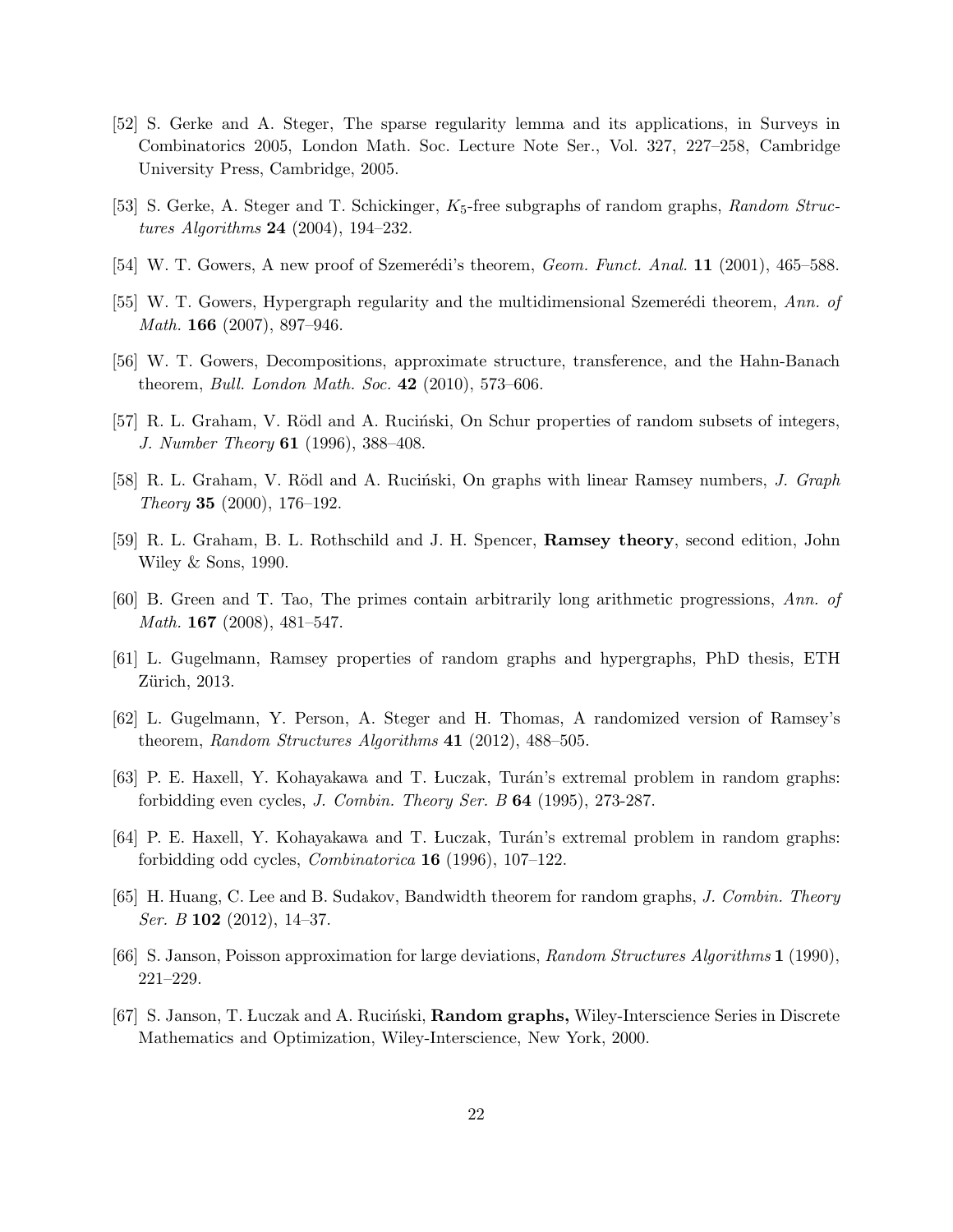- <span id="page-21-13"></span>[52] S. Gerke and A. Steger, The sparse regularity lemma and its applications, in Surveys in Combinatorics 2005, London Math. Soc. Lecture Note Ser., Vol. 327, 227–258, Cambridge University Press, Cambridge, 2005.
- <span id="page-21-12"></span><span id="page-21-10"></span>[53] S. Gerke, A. Steger and T. Schickinger, K5-free subgraphs of random graphs, *Random Structures Algorithms* 24 (2004), 194–232.
- <span id="page-21-4"></span>[54] W. T. Gowers, A new proof of Szemerédi's theorem, *Geom. Funct. Anal.* **11** (2001), 465–588.
- <span id="page-21-11"></span>[55] W. T. Gowers, Hypergraph regularity and the multidimensional Szemerédi theorem, *Ann. of Math.* 166 (2007), 897–946.
- <span id="page-21-7"></span>[56] W. T. Gowers, Decompositions, approximate structure, transference, and the Hahn-Banach theorem, *Bull. London Math. Soc.* 42 (2010), 573–606.
- <span id="page-21-15"></span>[57] R. L. Graham, V. Rödl and A. Ruciński, On Schur properties of random subsets of integers, *J. Number Theory* 61 (1996), 388–408.
- <span id="page-21-2"></span>[58] R. L. Graham, V. Rödl and A. Ruciński, On graphs with linear Ramsey numbers, *J. Graph Theory* 35 (2000), 176–192.
- <span id="page-21-1"></span>[59] R. L. Graham, B. L. Rothschild and J. H. Spencer, Ramsey theory, second edition, John Wiley & Sons, 1990.
- <span id="page-21-5"></span>[60] B. Green and T. Tao, The primes contain arbitrarily long arithmetic progressions, *Ann. of Math.* 167 (2008), 481–547.
- <span id="page-21-6"></span>[61] L. Gugelmann, Ramsey properties of random graphs and hypergraphs, PhD thesis, ETH Zürich, 2013.
- <span id="page-21-8"></span>[62] L. Gugelmann, Y. Person, A. Steger and H. Thomas, A randomized version of Ramsey's theorem, *Random Structures Algorithms* 41 (2012), 488–505.
- <span id="page-21-9"></span>[63] P. E. Haxell, Y. Kohayakawa and T. Luczak, Turán's extremal problem in random graphs: forbidding even cycles, *J. Combin. Theory Ser. B* 64 (1995), 273-287.
- <span id="page-21-14"></span>[64] P. E. Haxell, Y. Kohayakawa and T. Luczak, Turán's extremal problem in random graphs: forbidding odd cycles, *Combinatorica* 16 (1996), 107–122.
- <span id="page-21-3"></span>[65] H. Huang, C. Lee and B. Sudakov, Bandwidth theorem for random graphs, *J. Combin. Theory Ser. B* 102 (2012), 14–37.
- <span id="page-21-0"></span>[66] S. Janson, Poisson approximation for large deviations, *Random Structures Algorithms* 1 (1990), 221–229.
- [67] S. Janson, T. Luczak and A. Ruciński, Random graphs, Wiley-Interscience Series in Discrete Mathematics and Optimization, Wiley-Interscience, New York, 2000.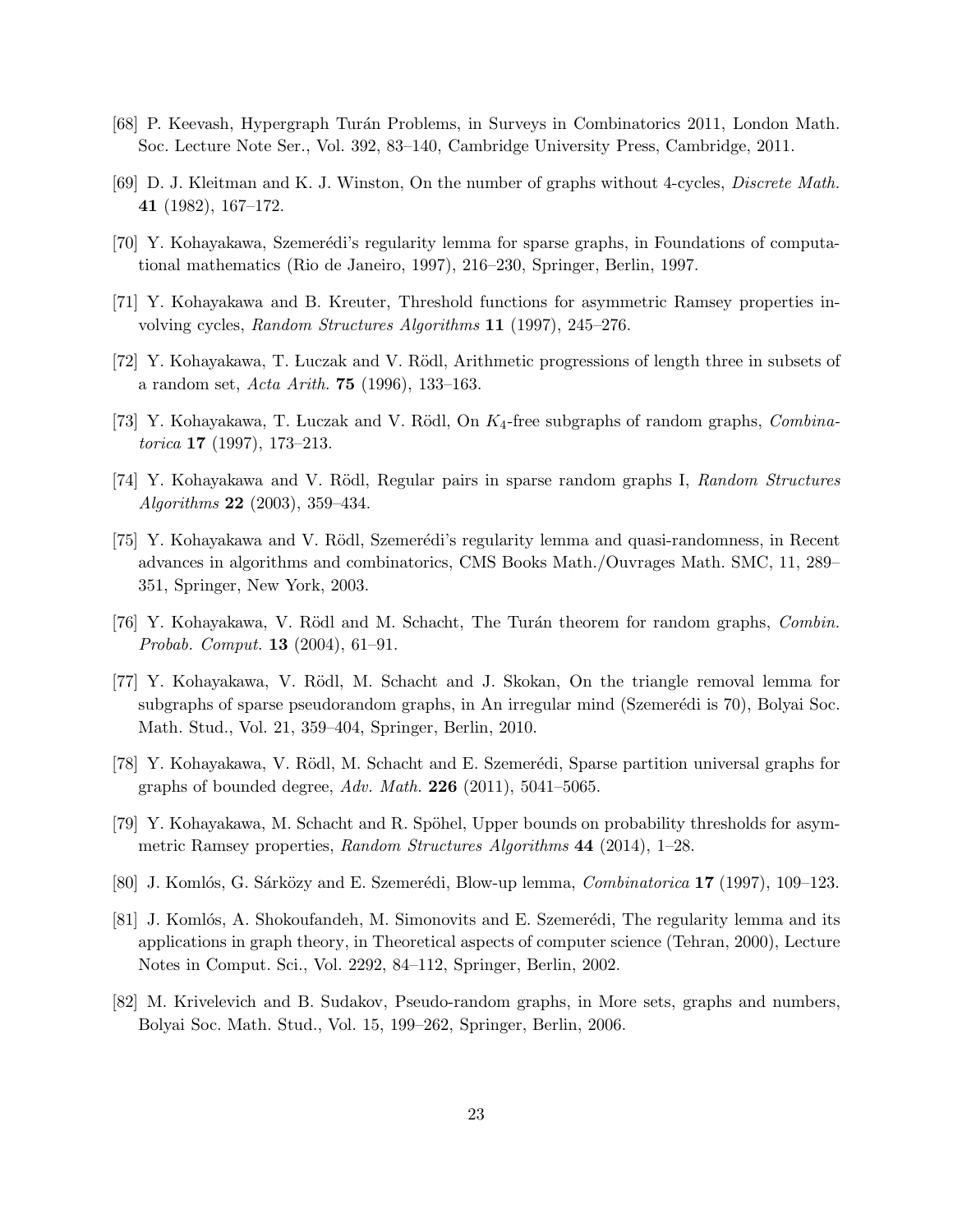- <span id="page-22-5"></span><span id="page-22-0"></span>[68] P. Keevash, Hypergraph Turán Problems, in Surveys in Combinatorics 2011, London Math. Soc. Lecture Note Ser., Vol. 392, 83–140, Cambridge University Press, Cambridge, 2011.
- <span id="page-22-8"></span>[69] D. J. Kleitman and K. J. Winston, On the number of graphs without 4-cycles, *Discrete Math.* 41 (1982), 167–172.
- <span id="page-22-1"></span>[70] Y. Kohayakawa, Szemerédi's regularity lemma for sparse graphs, in Foundations of computational mathematics (Rio de Janeiro, 1997), 216–230, Springer, Berlin, 1997.
- <span id="page-22-6"></span>[71] Y. Kohayakawa and B. Kreuter, Threshold functions for asymmetric Ramsey properties involving cycles, *Random Structures Algorithms* 11 (1997), 245–276.
- <span id="page-22-3"></span>[72] Y. Kohayakawa, T. Luczak and V. Rödl, Arithmetic progressions of length three in subsets of a random set, *Acta Arith.* 75 (1996), 133–163.
- <span id="page-22-10"></span>[73] Y. Kohayakawa, T. Luczak and V. Rödl, On  $K_4$ -free subgraphs of random graphs, *Combinatorica* 17 (1997), 173–213.
- <span id="page-22-9"></span>[74] Y. Kohayakawa and V. R¨odl, Regular pairs in sparse random graphs I, *Random Structures Algorithms* 22 (2003), 359–434.
- [75] Y. Kohayakawa and V. Rödl, Szemerédi's regularity lemma and quasi-randomness, in Recent advances in algorithms and combinatorics, CMS Books Math./Ouvrages Math. SMC, 11, 289– 351, Springer, New York, 2003.
- <span id="page-22-14"></span><span id="page-22-4"></span>[76] Y. Kohayakawa, V. R¨odl and M. Schacht, The Tur´an theorem for random graphs, *Combin. Probab. Comput.* 13 (2004), 61–91.
- [77] Y. Kohayakawa, V. Rödl, M. Schacht and J. Skokan, On the triangle removal lemma for subgraphs of sparse pseudorandom graphs, in An irregular mind (Szemerédi is 70), Bolyai Soc. Math. Stud., Vol. 21, 359–404, Springer, Berlin, 2010.
- <span id="page-22-11"></span><span id="page-22-2"></span>[78] Y. Kohayakawa, V. Rödl, M. Schacht and E. Szemerédi, Sparse partition universal graphs for graphs of bounded degree, *Adv. Math.* 226 (2011), 5041–5065.
- <span id="page-22-12"></span>[79] Y. Kohayakawa, M. Schacht and R. Spöhel, Upper bounds on probability thresholds for asymmetric Ramsey properties, *Random Structures Algorithms* 44 (2014), 1–28.
- <span id="page-22-7"></span>[80] J. Komlós, G. Sárközy and E. Szemerédi, Blow-up lemma, *Combinatorica* 17 (1997), 109–123.
- [81] J. Komlós, A. Shokoufandeh, M. Simonovits and E. Szemerédi, The regularity lemma and its applications in graph theory, in Theoretical aspects of computer science (Tehran, 2000), Lecture Notes in Comput. Sci., Vol. 2292, 84–112, Springer, Berlin, 2002.
- <span id="page-22-13"></span>[82] M. Krivelevich and B. Sudakov, Pseudo-random graphs, in More sets, graphs and numbers, Bolyai Soc. Math. Stud., Vol. 15, 199–262, Springer, Berlin, 2006.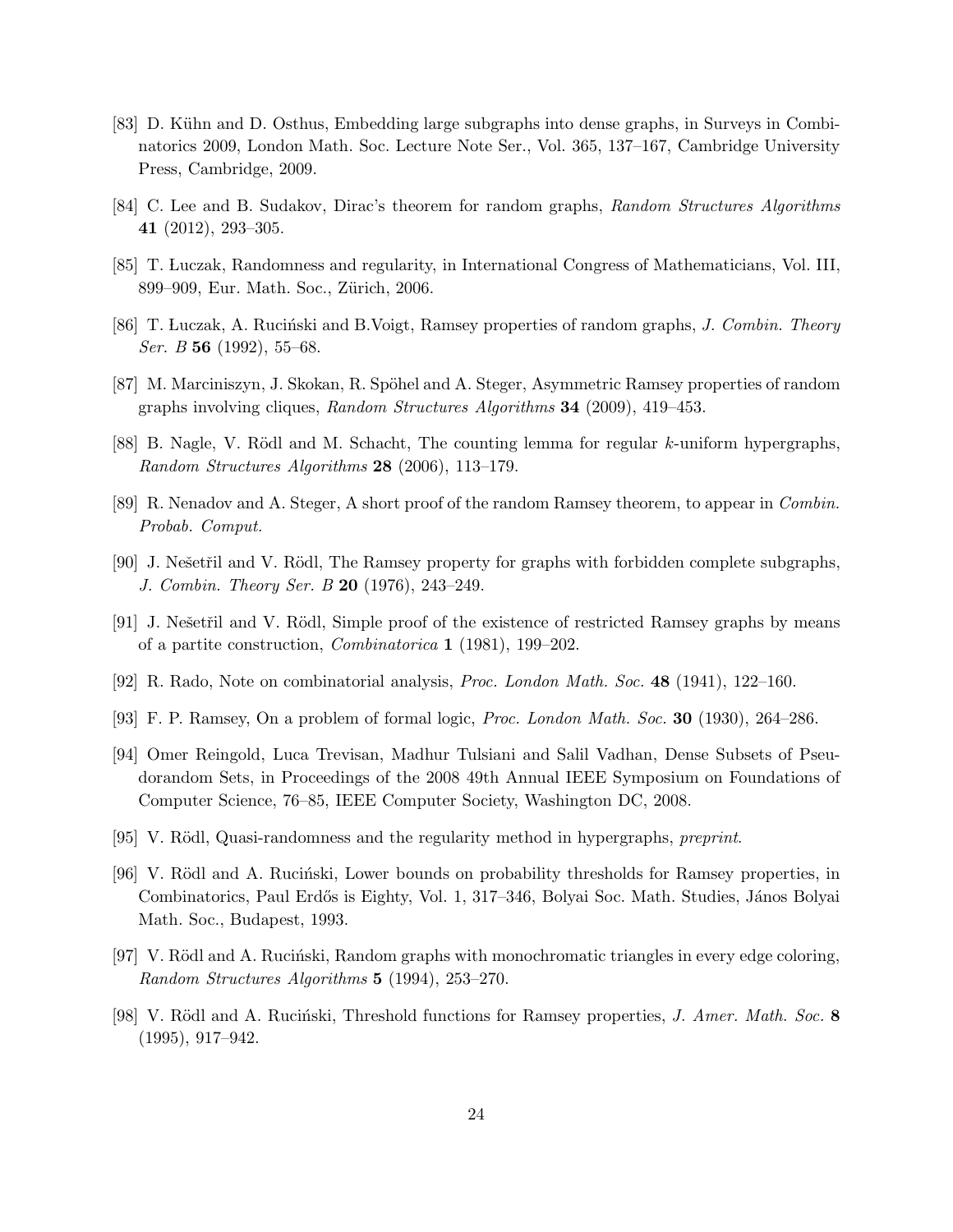- <span id="page-23-14"></span>[83] D. Kühn and D. Osthus, Embedding large subgraphs into dense graphs, in Surveys in Combinatorics 2009, London Math. Soc. Lecture Note Ser., Vol. 365, 137–167, Cambridge University Press, Cambridge, 2009.
- <span id="page-23-15"></span><span id="page-23-13"></span>[84] C. Lee and B. Sudakov, Dirac's theorem for random graphs, *Random Structures Algorithms* 41 (2012), 293–305.
- <span id="page-23-0"></span>[85] T. Luczak, Randomness and regularity, in International Congress of Mathematicians, Vol. III, 899–909, Eur. Math. Soc., Zürich, 2006.
- <span id="page-23-6"></span>[86] T. Luczak, A. Ruciński and B. Voigt, Ramsey properties of random graphs, *J. Combin. Theory Ser. B* 56 (1992), 55–68.
- <span id="page-23-5"></span>[87] M. Marciniszyn, J. Skokan, R. Spöhel and A. Steger, Asymmetric Ramsey properties of random graphs involving cliques, *Random Structures Algorithms* 34 (2009), 419–453.
- <span id="page-23-10"></span>[88] B. Nagle, V. Rödl and M. Schacht, The counting lemma for regular  $k$ -uniform hypergraphs, *Random Structures Algorithms* 28 (2006), 113–179.
- <span id="page-23-8"></span>[89] R. Nenadov and A. Steger, A short proof of the random Ramsey theorem, to appear in *Combin. Probab. Comput.*
- <span id="page-23-9"></span>[90] J. Nešetřil and V. Rödl, The Ramsey property for graphs with forbidden complete subgraphs, *J. Combin. Theory Ser. B* 20 (1976), 243–249.
- <span id="page-23-7"></span>[91] J. Ne $\check{\rm set}$ il and V. Rödl, Simple proof of the existence of restricted Ramsey graphs by means of a partite construction, *Combinatorica* 1 (1981), 199–202.
- <span id="page-23-2"></span>[92] R. Rado, Note on combinatorial analysis, *Proc. London Math. Soc.* 48 (1941), 122–160.
- <span id="page-23-11"></span>[93] F. P. Ramsey, On a problem of formal logic, *Proc. London Math. Soc.* 30 (1930), 264–286.
- [94] Omer Reingold, Luca Trevisan, Madhur Tulsiani and Salil Vadhan, Dense Subsets of Pseudorandom Sets, in Proceedings of the 2008 49th Annual IEEE Symposium on Foundations of Computer Science, 76–85, IEEE Computer Society, Washington DC, 2008.
- <span id="page-23-12"></span><span id="page-23-3"></span>[95] V. R¨odl, Quasi-randomness and the regularity method in hypergraphs, *preprint*.
- [96] V. Rödl and A. Rucinski, Lower bounds on probability thresholds for Ramsey properties, in Combinatorics, Paul Erdős is Eighty, Vol. 1, 317–346, Bolyai Soc. Math. Studies, János Bolyai Math. Soc., Budapest, 1993.
- <span id="page-23-4"></span>[97] V. Rödl and A. Rucinski, Random graphs with monochromatic triangles in every edge coloring, *Random Structures Algorithms* 5 (1994), 253–270.
- <span id="page-23-1"></span>[98] V. Rödl and A. Ruciński, Threshold functions for Ramsey properties, *J. Amer. Math. Soc.* 8 (1995), 917–942.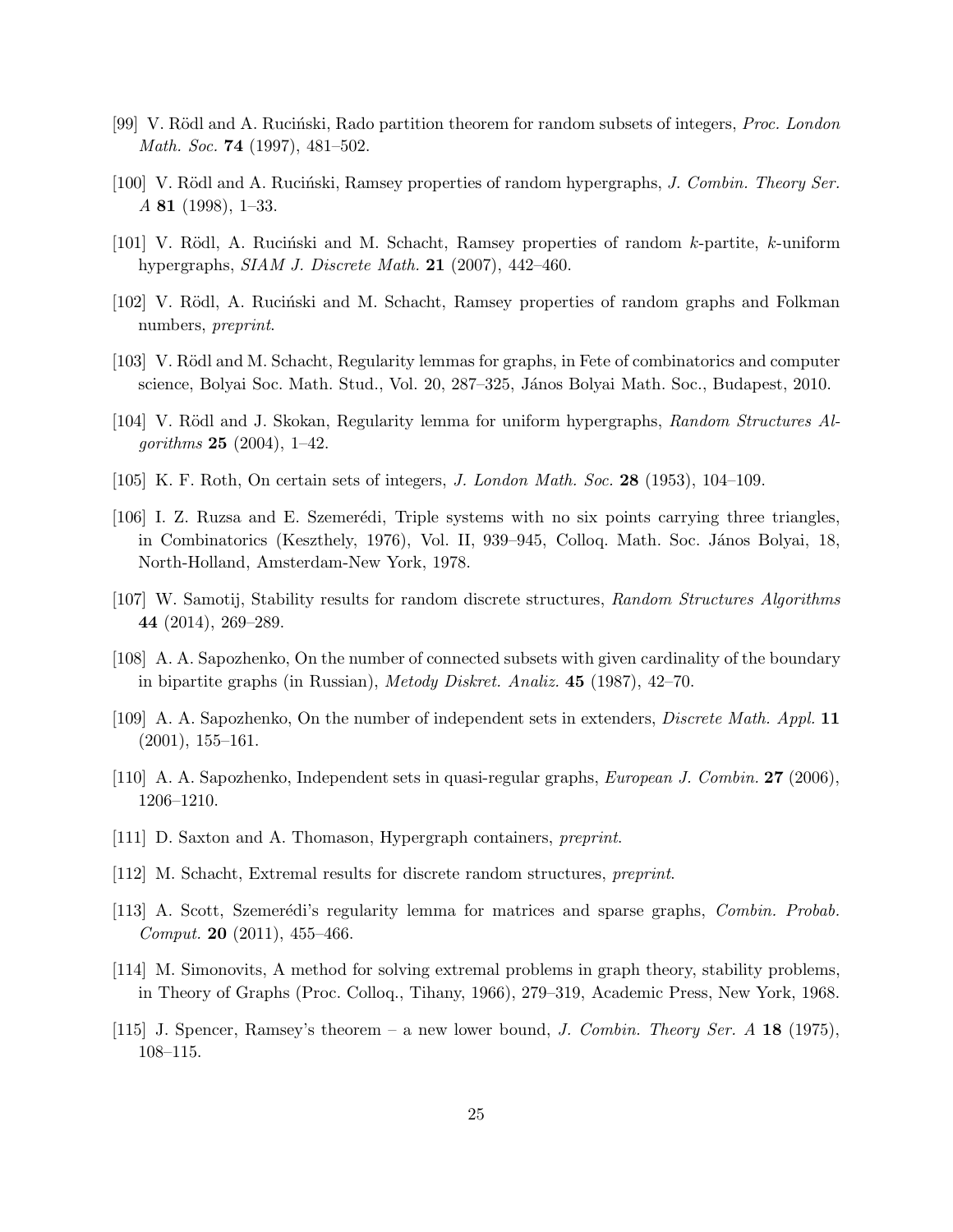- <span id="page-24-7"></span><span id="page-24-6"></span>[99] V. Rödl and A. Rucinski, Rado partition theorem for random subsets of integers, *Proc. London Math. Soc.* 74 (1997), 481–502.
- <span id="page-24-8"></span>[100] V. Rödl and A. Ruciński, Ramsey properties of random hypergraphs, *J. Combin. Theory Ser. A* 81 (1998), 1–33.
- <span id="page-24-10"></span>[101] V. Rödl, A. Rucinski and M. Schacht, Ramsey properties of random  $k$ -partite,  $k$ -uniform hypergraphs, *SIAM J. Discrete Math.* 21 (2007), 442–460.
- <span id="page-24-13"></span>[102] V. Rödl, A. Ruciński and M. Schacht, Ramsey properties of random graphs and Folkman numbers, *preprint*.
- <span id="page-24-9"></span>[103] V. Rödl and M. Schacht, Regularity lemmas for graphs, in Fete of combinatorics and computer science, Bolyai Soc. Math. Stud., Vol. 20, 287–325, János Bolyai Math. Soc., Budapest, 2010.
- <span id="page-24-16"></span>[104] V. Rödl and J. Skokan, Regularity lemma for uniform hypergraphs, *Random Structures Algorithms* 25 (2004), 1–42.
- <span id="page-24-15"></span>[105] K. F. Roth, On certain sets of integers, *J. London Math. Soc.* 28 (1953), 104–109.
- [106] I. Z. Ruzsa and E. Szemerédi, Triple systems with no six points carrying three triangles, in Combinatorics (Keszthely, 1976), Vol. II, 939–945, Colloq. Math. Soc. János Bolyai, 18, North-Holland, Amsterdam-New York, 1978.
- <span id="page-24-12"></span><span id="page-24-2"></span>[107] W. Samotij, Stability results for random discrete structures, *Random Structures Algorithms* 44 (2014), 269–289.
- <span id="page-24-3"></span>[108] A. A. Sapozhenko, On the number of connected subsets with given cardinality of the boundary in bipartite graphs (in Russian), *Metody Diskret. Analiz.* 45 (1987), 42–70.
- <span id="page-24-4"></span>[109] A. A. Sapozhenko, On the number of independent sets in extenders, *Discrete Math. Appl.* 11 (2001), 155–161.
- <span id="page-24-1"></span>[110] A. A. Sapozhenko, Independent sets in quasi-regular graphs, *European J. Combin.* 27 (2006), 1206–1210.
- <span id="page-24-0"></span>[111] D. Saxton and A. Thomason, Hypergraph containers, *preprint*.
- <span id="page-24-14"></span>[112] M. Schacht, Extremal results for discrete random structures, *preprint*.
- <span id="page-24-11"></span>[113] A. Scott, Szemerédi's regularity lemma for matrices and sparse graphs, *Combin. Probab. Comput.* 20 (2011), 455–466.
- [114] M. Simonovits, A method for solving extremal problems in graph theory, stability problems, in Theory of Graphs (Proc. Colloq., Tihany, 1966), 279–319, Academic Press, New York, 1968.
- <span id="page-24-5"></span>[115] J. Spencer, Ramsey's theorem – a new lower bound, *J. Combin. Theory Ser. A* 18 (1975), 108–115.